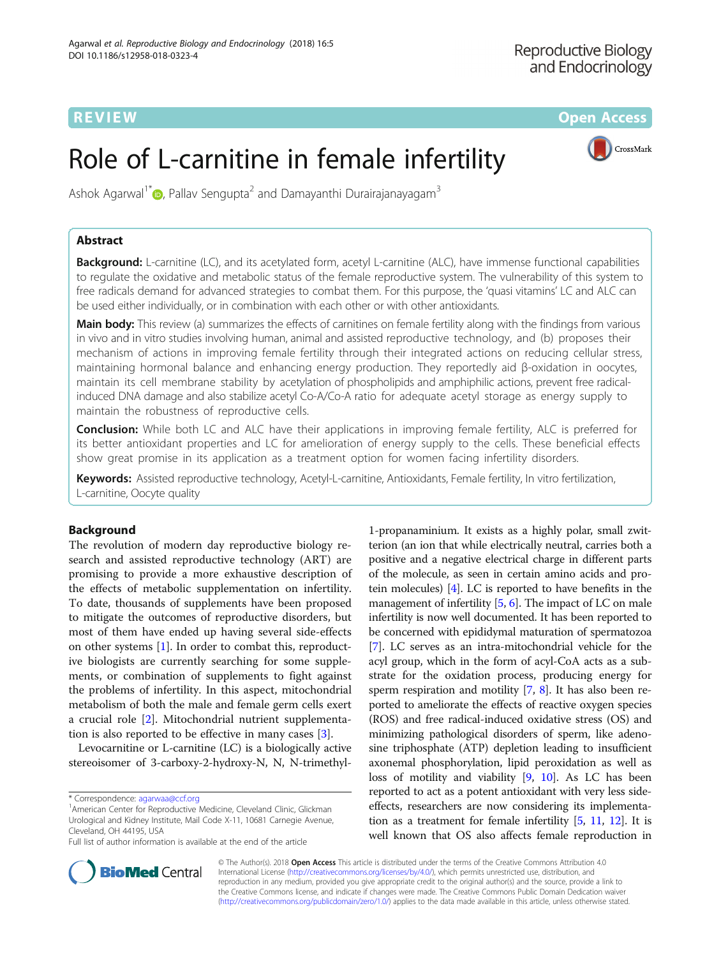**REVIEW ACCESS AND LOCAL CONTRACT CONTRACT OF ACCESS** 

# Role of L-carnitine in female infertility



Ashok Agarwal<sup>1\*</sup> $\odot$ [,](http://orcid.org/0000-0003-0585-1026) Pallav Sengupta<sup>2</sup> and Damayanthi Durairajanayagam<sup>3</sup>

# Abstract

Background: L-carnitine (LC), and its acetylated form, acetyl L-carnitine (ALC), have immense functional capabilities to regulate the oxidative and metabolic status of the female reproductive system. The vulnerability of this system to free radicals demand for advanced strategies to combat them. For this purpose, the 'quasi vitamins' LC and ALC can be used either individually, or in combination with each other or with other antioxidants.

Main body: This review (a) summarizes the effects of carnitines on female fertility along with the findings from various in vivo and in vitro studies involving human, animal and assisted reproductive technology, and (b) proposes their mechanism of actions in improving female fertility through their integrated actions on reducing cellular stress, maintaining hormonal balance and enhancing energy production. They reportedly aid β-oxidation in oocytes, maintain its cell membrane stability by acetylation of phospholipids and amphiphilic actions, prevent free radicalinduced DNA damage and also stabilize acetyl Co-A/Co-A ratio for adequate acetyl storage as energy supply to maintain the robustness of reproductive cells.

**Conclusion:** While both LC and ALC have their applications in improving female fertility, ALC is preferred for its better antioxidant properties and LC for amelioration of energy supply to the cells. These beneficial effects show great promise in its application as a treatment option for women facing infertility disorders.

Keywords: Assisted reproductive technology, Acetyl-L-carnitine, Antioxidants, Female fertility, In vitro fertilization, L-carnitine, Oocyte quality

# Background

The revolution of modern day reproductive biology research and assisted reproductive technology (ART) are promising to provide a more exhaustive description of the effects of metabolic supplementation on infertility. To date, thousands of supplements have been proposed to mitigate the outcomes of reproductive disorders, but most of them have ended up having several side-effects on other systems [\[1](#page-15-0)]. In order to combat this, reproductive biologists are currently searching for some supplements, or combination of supplements to fight against the problems of infertility. In this aspect, mitochondrial metabolism of both the male and female germ cells exert a crucial role [\[2](#page-15-0)]. Mitochondrial nutrient supplementation is also reported to be effective in many cases [\[3](#page-15-0)].

Levocarnitine or L-carnitine (LC) is a biologically active stereoisomer of 3-carboxy-2-hydroxy-N, N, N-trimethyl-

1-propanaminium. It exists as a highly polar, small zwitterion (an ion that while electrically neutral, carries both a positive and a negative electrical charge in different parts of the molecule, as seen in certain amino acids and protein molecules) [[4](#page-15-0)]. LC is reported to have benefits in the management of infertility  $[5, 6]$  $[5, 6]$  $[5, 6]$ . The impact of LC on male infertility is now well documented. It has been reported to be concerned with epididymal maturation of spermatozoa [[7\]](#page-15-0). LC serves as an intra-mitochondrial vehicle for the acyl group, which in the form of acyl-CoA acts as a substrate for the oxidation process, producing energy for sperm respiration and motility [\[7](#page-15-0), [8](#page-15-0)]. It has also been reported to ameliorate the effects of reactive oxygen species (ROS) and free radical-induced oxidative stress (OS) and minimizing pathological disorders of sperm, like adenosine triphosphate (ATP) depletion leading to insufficient axonemal phosphorylation, lipid peroxidation as well as loss of motility and viability [[9](#page-15-0), [10\]](#page-15-0). As LC has been reported to act as a potent antioxidant with very less sideeffects, researchers are now considering its implementation as a treatment for female infertility [\[5,](#page-15-0) [11](#page-15-0), [12](#page-15-0)]. It is well known that OS also affects female reproduction in



© The Author(s). 2018 Open Access This article is distributed under the terms of the Creative Commons Attribution 4.0 International License [\(http://creativecommons.org/licenses/by/4.0/](http://creativecommons.org/licenses/by/4.0/)), which permits unrestricted use, distribution, and reproduction in any medium, provided you give appropriate credit to the original author(s) and the source, provide a link to the Creative Commons license, and indicate if changes were made. The Creative Commons Public Domain Dedication waiver [\(http://creativecommons.org/publicdomain/zero/1.0/](http://creativecommons.org/publicdomain/zero/1.0/)) applies to the data made available in this article, unless otherwise stated.

<sup>\*</sup> Correspondence: [agarwaa@ccf.org](mailto:agarwaa@ccf.org) <sup>1</sup>

<sup>&</sup>lt;sup>1</sup> American Center for Reproductive Medicine, Cleveland Clinic, Glickman Urological and Kidney Institute, Mail Code X-11, 10681 Carnegie Avenue, Cleveland, OH 44195, USA

Full list of author information is available at the end of the article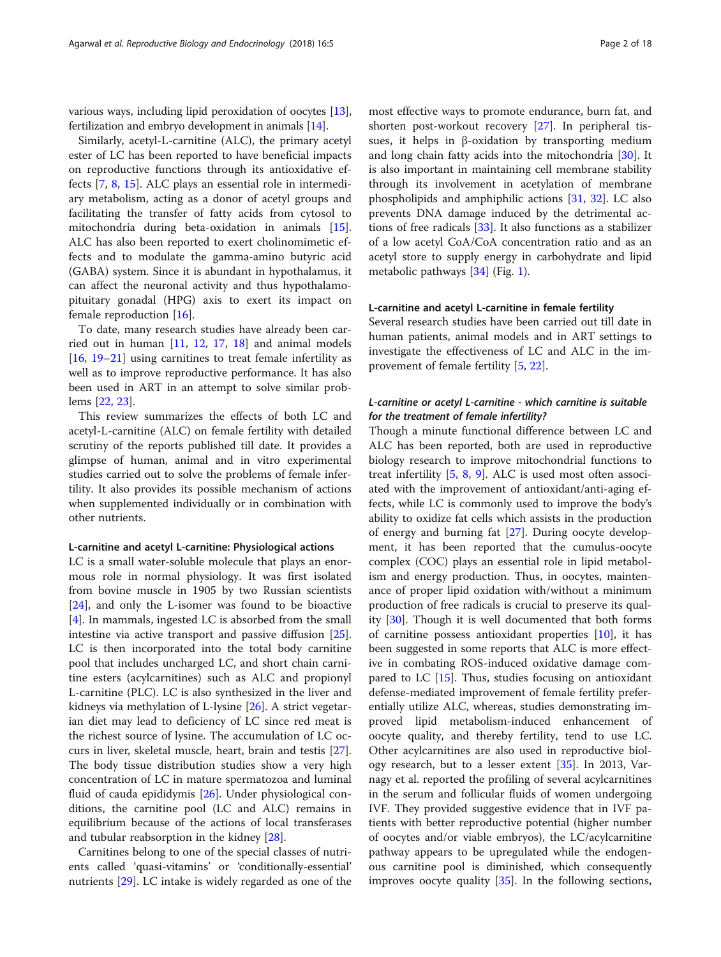various ways, including lipid peroxidation of oocytes [[13](#page-15-0)], fertilization and embryo development in animals [[14](#page-15-0)].

Similarly, acetyl-L-carnitine (ALC), the primary acetyl ester of LC has been reported to have beneficial impacts on reproductive functions through its antioxidative effects [[7,](#page-15-0) [8](#page-15-0), [15](#page-15-0)]. ALC plays an essential role in intermediary metabolism, acting as a donor of acetyl groups and facilitating the transfer of fatty acids from cytosol to mitochondria during beta-oxidation in animals [\[15](#page-15-0)]. ALC has also been reported to exert cholinomimetic effects and to modulate the gamma-amino butyric acid (GABA) system. Since it is abundant in hypothalamus, it can affect the neuronal activity and thus hypothalamopituitary gonadal (HPG) axis to exert its impact on female reproduction [[16\]](#page-15-0).

To date, many research studies have already been carried out in human [\[11](#page-15-0), [12,](#page-15-0) [17](#page-15-0), [18](#page-15-0)] and animal models [[16,](#page-15-0) [19](#page-15-0)–[21](#page-15-0)] using carnitines to treat female infertility as well as to improve reproductive performance. It has also been used in ART in an attempt to solve similar problems [[22,](#page-15-0) [23](#page-15-0)].

This review summarizes the effects of both LC and acetyl-L-carnitine (ALC) on female fertility with detailed scrutiny of the reports published till date. It provides a glimpse of human, animal and in vitro experimental studies carried out to solve the problems of female infertility. It also provides its possible mechanism of actions when supplemented individually or in combination with other nutrients.

#### L-carnitine and acetyl L-carnitine: Physiological actions

LC is a small water-soluble molecule that plays an enormous role in normal physiology. It was first isolated from bovine muscle in 1905 by two Russian scientists [[24\]](#page-15-0), and only the L-isomer was found to be bioactive [[4\]](#page-15-0). In mammals, ingested LC is absorbed from the small intestine via active transport and passive diffusion [\[25](#page-15-0)]. LC is then incorporated into the total body carnitine pool that includes uncharged LC, and short chain carnitine esters (acylcarnitines) such as ALC and propionyl L-carnitine (PLC). LC is also synthesized in the liver and kidneys via methylation of L-lysine [[26\]](#page-15-0). A strict vegetarian diet may lead to deficiency of LC since red meat is the richest source of lysine. The accumulation of LC occurs in liver, skeletal muscle, heart, brain and testis [\[27](#page-15-0)]. The body tissue distribution studies show a very high concentration of LC in mature spermatozoa and luminal fluid of cauda epididymis [[26\]](#page-15-0). Under physiological conditions, the carnitine pool (LC and ALC) remains in equilibrium because of the actions of local transferases and tubular reabsorption in the kidney [\[28](#page-15-0)].

Carnitines belong to one of the special classes of nutrients called 'quasi-vitamins' or 'conditionally-essential' nutrients [[29\]](#page-15-0). LC intake is widely regarded as one of the most effective ways to promote endurance, burn fat, and shorten post-workout recovery [\[27](#page-15-0)]. In peripheral tissues, it helps in β-oxidation by transporting medium and long chain fatty acids into the mitochondria [\[30](#page-15-0)]. It is also important in maintaining cell membrane stability through its involvement in acetylation of membrane phospholipids and amphiphilic actions [\[31,](#page-15-0) [32\]](#page-15-0). LC also prevents DNA damage induced by the detrimental actions of free radicals [[33\]](#page-16-0). It also functions as a stabilizer of a low acetyl CoA/CoA concentration ratio and as an acetyl store to supply energy in carbohydrate and lipid metabolic pathways [\[34](#page-16-0)] (Fig. [1\)](#page-2-0).

#### L-carnitine and acetyl L-carnitine in female fertility

Several research studies have been carried out till date in human patients, animal models and in ART settings to investigate the effectiveness of LC and ALC in the improvement of female fertility [[5,](#page-15-0) [22\]](#page-15-0).

# L-carnitine or acetyl L-carnitine - which carnitine is suitable for the treatment of female infertility?

Though a minute functional difference between LC and ALC has been reported, both are used in reproductive biology research to improve mitochondrial functions to treat infertility [\[5](#page-15-0), [8](#page-15-0), [9\]](#page-15-0). ALC is used most often associated with the improvement of antioxidant/anti-aging effects, while LC is commonly used to improve the body's ability to oxidize fat cells which assists in the production of energy and burning fat [[27\]](#page-15-0). During oocyte development, it has been reported that the cumulus-oocyte complex (COC) plays an essential role in lipid metabolism and energy production. Thus, in oocytes, maintenance of proper lipid oxidation with/without a minimum production of free radicals is crucial to preserve its quality [[30\]](#page-15-0). Though it is well documented that both forms of carnitine possess antioxidant properties [\[10\]](#page-15-0), it has been suggested in some reports that ALC is more effective in combating ROS-induced oxidative damage compared to LC  $[15]$  $[15]$ . Thus, studies focusing on antioxidant defense-mediated improvement of female fertility preferentially utilize ALC, whereas, studies demonstrating improved lipid metabolism-induced enhancement of oocyte quality, and thereby fertility, tend to use LC. Other acylcarnitines are also used in reproductive biology research, but to a lesser extent [[35\]](#page-16-0). In 2013, Varnagy et al. reported the profiling of several acylcarnitines in the serum and follicular fluids of women undergoing IVF. They provided suggestive evidence that in IVF patients with better reproductive potential (higher number of oocytes and/or viable embryos), the LC/acylcarnitine pathway appears to be upregulated while the endogenous carnitine pool is diminished, which consequently improves oocyte quality [\[35\]](#page-16-0). In the following sections,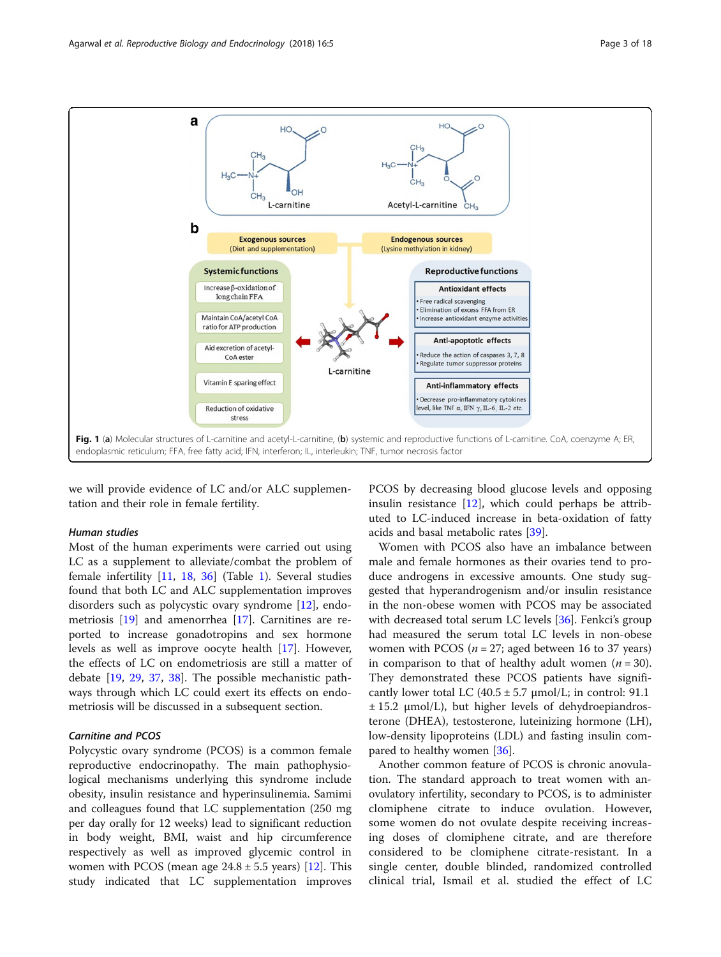<span id="page-2-0"></span>

we will provide evidence of LC and/or ALC supplementation and their role in female fertility.

#### Human studies

Most of the human experiments were carried out using LC as a supplement to alleviate/combat the problem of female infertility [\[11,](#page-15-0) [18,](#page-15-0) [36](#page-16-0)] (Table [1\)](#page-3-0). Several studies found that both LC and ALC supplementation improves disorders such as polycystic ovary syndrome [\[12\]](#page-15-0), endometriosis [[19](#page-15-0)] and amenorrhea [[17](#page-15-0)]. Carnitines are reported to increase gonadotropins and sex hormone levels as well as improve oocyte health [[17\]](#page-15-0). However, the effects of LC on endometriosis are still a matter of debate [[19,](#page-15-0) [29,](#page-15-0) [37](#page-16-0), [38](#page-16-0)]. The possible mechanistic pathways through which LC could exert its effects on endometriosis will be discussed in a subsequent section.

#### Carnitine and PCOS

Polycystic ovary syndrome (PCOS) is a common female reproductive endocrinopathy. The main pathophysiological mechanisms underlying this syndrome include obesity, insulin resistance and hyperinsulinemia. Samimi and colleagues found that LC supplementation (250 mg per day orally for 12 weeks) lead to significant reduction in body weight, BMI, waist and hip circumference respectively as well as improved glycemic control in women with PCOS (mean age  $24.8 \pm 5.5$  years) [\[12](#page-15-0)]. This study indicated that LC supplementation improves

PCOS by decreasing blood glucose levels and opposing insulin resistance  $[12]$ , which could perhaps be attributed to LC-induced increase in beta-oxidation of fatty acids and basal metabolic rates [[39](#page-16-0)].

Women with PCOS also have an imbalance between male and female hormones as their ovaries tend to produce androgens in excessive amounts. One study suggested that hyperandrogenism and/or insulin resistance in the non-obese women with PCOS may be associated with decreased total serum LC levels [[36](#page-16-0)]. Fenkci's group had measured the serum total LC levels in non-obese women with PCOS ( $n = 27$ ; aged between 16 to 37 years) in comparison to that of healthy adult women  $(n = 30)$ . They demonstrated these PCOS patients have significantly lower total LC  $(40.5 \pm 5.7 \text{ \mu} \text{mol/L})$ ; in control: 91.1  $\pm$  15.2  $\mu$ mol/L), but higher levels of dehydroepiandrosterone (DHEA), testosterone, luteinizing hormone (LH), low-density lipoproteins (LDL) and fasting insulin compared to healthy women [\[36](#page-16-0)].

Another common feature of PCOS is chronic anovulation. The standard approach to treat women with anovulatory infertility, secondary to PCOS, is to administer clomiphene citrate to induce ovulation. However, some women do not ovulate despite receiving increasing doses of clomiphene citrate, and are therefore considered to be clomiphene citrate-resistant. In a single center, double blinded, randomized controlled clinical trial, Ismail et al. studied the effect of LC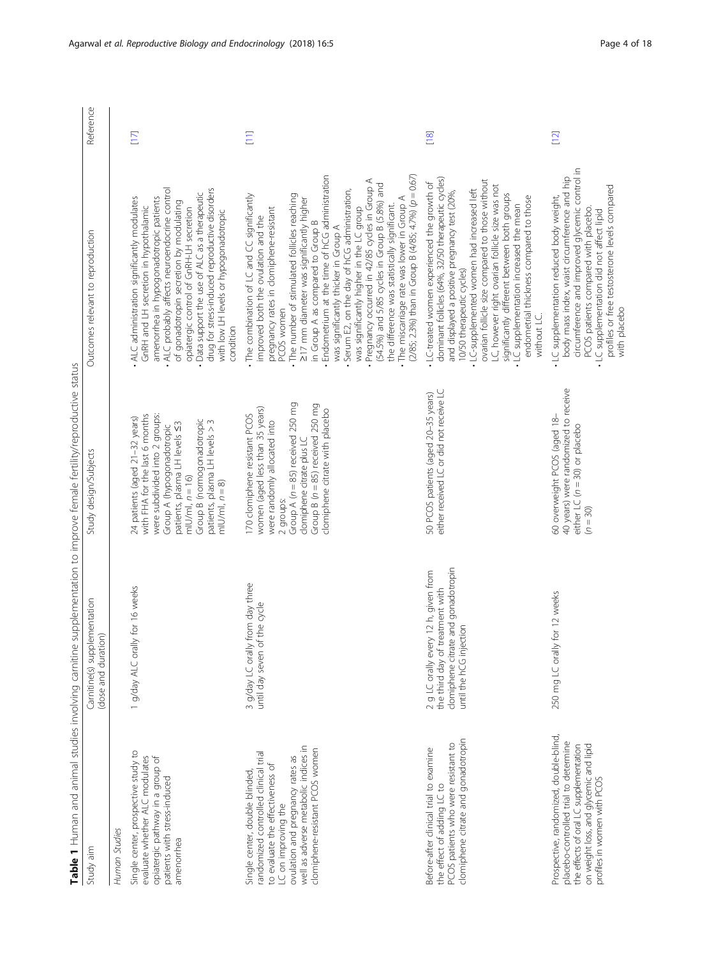| ١<br>j<br>ı<br>$\ddot{\phantom{a}}$<br>j<br>l<br>ī<br>l<br>Ï<br>١<br>J<br>j                                         | $\overline{a}$                                                                                             |
|---------------------------------------------------------------------------------------------------------------------|------------------------------------------------------------------------------------------------------------|
| d<br>í<br>I<br>I<br>í                                                                                               | ׅ֖֚֚֚֚֚֚֚֚֡֕֕֝֬<br>֧֖֖֧ׅ֖֧֚֚֚֚֚֚֚֚֚֚֚֚֚֚֚֚֚֚֚֚֚֚֚֚֚֚֝֡֝<br>֧֚֚֚֩<br>$\ddot{\phantom{a}}$<br>$\overline{a}$ |
| I<br>¢<br>I<br>֖֖֖֖֖֖֖֖֖֖֖֖֧ׅ֖֧֖֧֪֧֪֧֚֚֚֚֚֚֚֚֚֚֚֚֚֚֚֚֚֚֚֚֚֚֚֚֚֚֡֬֝֬֝֓֞֓֡֬֓֞֓֡֬֓֞֓֞֬֝֓֞֞֝֬֞֝֬֝֬֝<br>١<br>ļ<br>i<br>j |                                                                                                            |
| J<br>١<br>١<br>J<br>١<br>ī                                                                                          | $\ddot{ }$                                                                                                 |
| ١<br>$\overline{a}$<br>mai<br>S<br>$\overline{a}$<br>j<br>unan and                                                  |                                                                                                            |
| able 1                                                                                                              |                                                                                                            |

<span id="page-3-0"></span>

|                                                                                                                                                                                                                                                  |                                                                                                                                           | Table 1 Human and animal studies involving carnitine supplementation to improve female fertility/reproductive status                                                                                                                                                         |                                                                                                                                                                                                                                                                                                                                                                                                                                                                                                                                                                                                                                                                                                                                  |           |
|--------------------------------------------------------------------------------------------------------------------------------------------------------------------------------------------------------------------------------------------------|-------------------------------------------------------------------------------------------------------------------------------------------|------------------------------------------------------------------------------------------------------------------------------------------------------------------------------------------------------------------------------------------------------------------------------|----------------------------------------------------------------------------------------------------------------------------------------------------------------------------------------------------------------------------------------------------------------------------------------------------------------------------------------------------------------------------------------------------------------------------------------------------------------------------------------------------------------------------------------------------------------------------------------------------------------------------------------------------------------------------------------------------------------------------------|-----------|
| Study aim                                                                                                                                                                                                                                        | Carnitine(s) supplementation<br>(dose and duration)                                                                                       | Study design/Subjects                                                                                                                                                                                                                                                        | Outcomes relevant to reproduction                                                                                                                                                                                                                                                                                                                                                                                                                                                                                                                                                                                                                                                                                                | Reference |
| Human Studies                                                                                                                                                                                                                                    |                                                                                                                                           |                                                                                                                                                                                                                                                                              |                                                                                                                                                                                                                                                                                                                                                                                                                                                                                                                                                                                                                                                                                                                                  |           |
| Single center, prospective study to<br>evaluate whether ALC modulates<br>opiatergic pathway in a group of<br>patients with stress-induced<br>amenorrhea                                                                                          | 1 g/day ALC orally for 16 weeks                                                                                                           | were subdivided into 2 groups:<br>with FHA for the last 6 months<br>24 patients (aged 21-32 years)<br>Group B (normogonadotropic<br>patients, plasma LH levels > 3<br>patients, plasma LH levels <3<br>Group A (hypogonadotropic<br>$m U/m $ , $n = 16$ )<br>$m U/m , n = 8$ | ALC probably affects neuroendocrine control<br>drug for stress-induced reproductive disorders<br>Data support the use of ALC as a therapeutic<br>ALC administration significantly modulates<br>amenorrhea in hypogonadotropic patients<br>of gonadotropin secretion by modulating<br>GnRH and LH secretion in hypothalamic<br>opiatergic control of GnRH-LH secretion<br>with low LH levels or hypogonadotropic<br>condition                                                                                                                                                                                                                                                                                                     | $[17]$    |
| well as adverse metabolic indices in<br>clomiphene-resistant PCOS women<br>randomized controlled clinical trial<br>ovulation and pregnancy rates as<br>to evaluate the effectiveness of<br>Single center, double blinded,<br>LC on improving the | 3 g/day LC orally from day three<br>until day seven of the cycle                                                                          | Group A ( $n = 85$ ) received 250 mg<br>Group $B(n = 85)$ received 250 mg<br>women (aged less than 35 years)<br>clomiphene citrate with placebo<br>170 clomiphene resistant PCOS<br>were randomly allocated into<br>clomiphene citrate plus LC<br>2 groups:                  | $(2/85; 2.3%)$ than in Group B $(4/85; 4.7%)$ $(p = 0.67)$<br>Endometrium at the time of hCG administration<br>Pregnancy occurred in 42/85 cycles in Group A<br>(54.5%) and 5/85 cycles in Group B (5.8%) and<br>Serum E2, on the day of hCG administration,<br>The combination of LC and CC significantly<br>. The number of stimulated follicles reaching<br>. The miscarriage rate was lower in Group A<br>217 mm diameter was significantly higher<br>the difference was statistically significant.<br>was significantly higher in the LC group<br>pregnancy rates in clomiphene-resistant<br>improved both the ovulation and the<br>in Group A as compared to Group B<br>was significantly thicker in Group A<br>PCOS women | $\Xi$     |
| clomiphene citrate and gonadotropin<br>PCOS patients who were resistant to<br>Before-after clinical trial to examine<br>the effect of adding LC to                                                                                               | clomiphene citrate and gonadotropin<br>2 g LC orally every 12 h, given from<br>the third day of treatment with<br>until the hCG injection | either received LC or did not receive LC<br>50 PCOS patients (aged 20-35 years)                                                                                                                                                                                              | dominant follicles (64%, 32/50 therapeutic cycles)<br>ovarian follicle size compared to those without<br>• LC-treated women experienced the growth of<br>LC, however right ovarian follicle size was not<br>· LC-supplemented women had increased left<br>and displayed a positive pregnancy test (20%,<br>significantly different between both groups<br>endometrial thickness compared to those<br>. LC supplementation increased the mean<br>10/50 therapeutic cycles)<br>without LC.                                                                                                                                                                                                                                         | $[18]$    |
| Prospective, randomized, double-blind,<br>placebo-controlled trial to determine<br>on weight loss, and glycemic and lipid<br>the effects of oral LC supplementation<br>profiles in women with PCOS                                               | 250 mg LC orally for 12 weeks                                                                                                             | 40 years) were randomized to receive<br>60 overweight PCOS (aged 18-<br>either LC $(n = 30)$ or placebo<br>$(n = 30)$                                                                                                                                                        | circumference and improved glycemic control in<br>body mass index, waist circumference and hip<br>profiles or free testosterone levels compared<br>· LC supplementation reduced body weight,<br>PCOS patients compared with placebo.<br>. LC supplementation did not affect lipid<br>with placebo                                                                                                                                                                                                                                                                                                                                                                                                                                | $[12]$    |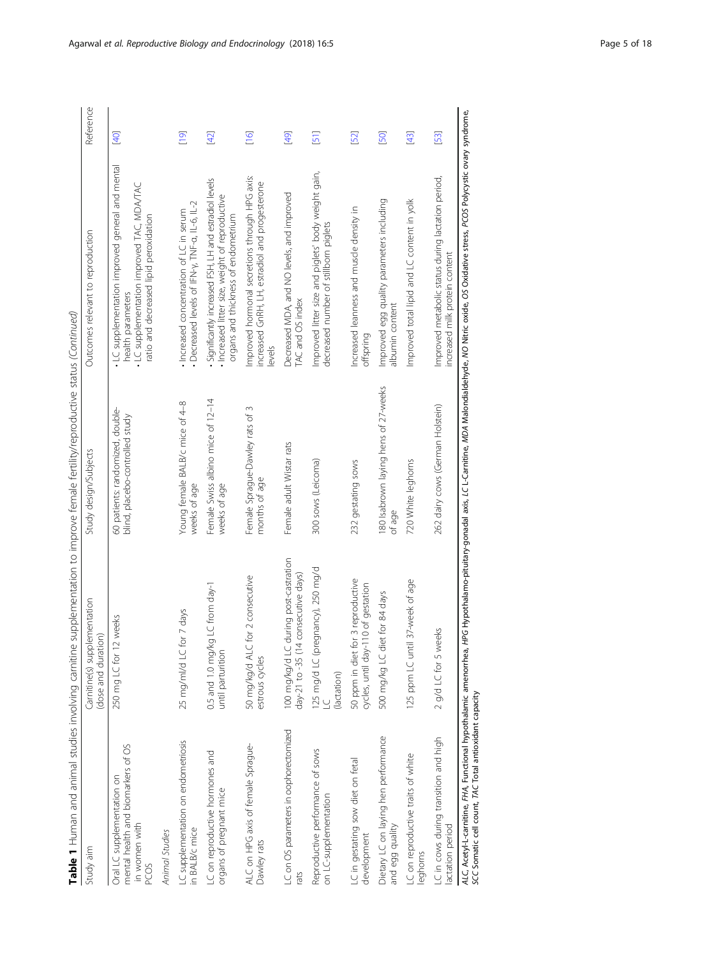| Study aim                                                                                 | Carnitine(s) supplementation<br>(dose and duration)                          | Study design/Subjects                                               | Outcomes relevant to reproduction                                                                                                                         | Reference |
|-------------------------------------------------------------------------------------------|------------------------------------------------------------------------------|---------------------------------------------------------------------|-----------------------------------------------------------------------------------------------------------------------------------------------------------|-----------|
| mental health and biomarkers of OS<br>Oral LC supplementation on<br>in women with<br>PCOS | 250 mg LC for 12 weeks                                                       | 60 patients: randomized, double-<br>blind, placebo-controlled study | LC supplementation improved general and mental<br>LC supplementation improved TAC, MDA/TAC<br>ratio and decreased lipid peroxidation<br>health parameters | [40]      |
| Animal Studies                                                                            |                                                                              |                                                                     |                                                                                                                                                           |           |
| LC supplementation on endometriosis<br>in BALB/c mice                                     | 25 mg/ml/d LC for 7 days                                                     | Young female BALB/c mice of 4-8<br>weeks of age                     | Decreased levels of IFN-y, TNF-a, IL-6, IL-2<br>Increased concentration of LC in serum                                                                    | [19]      |
| LC on reproductive hormones and<br>organs of pregnant mice                                | 0.5 and 1.0 mg/kg LC from day-1<br>until parturition                         | Female Swiss albino mice of 12-14<br>weeks of age                   | Significantly increased FSH, LH and estradiol levels<br>Increased litter size, weight of reproductive<br>organs and thickness of endometrium              | $[42]$    |
| ALC on HPG axis of female Sprague-<br>Dawley rats                                         | for 2 consecutive<br>50 mg/kg/d ALC<br>estrous cycles                        | Female Sprague-Dawley rats of 3<br>months of age                    | Improved hormonal secretions through HPG axis:<br>increased GnRH, LH, estradiol and progesterone<br>levels                                                | $[16]$    |
| LC on OS parameters in oophorectomized<br>rats                                            | 100 mg/kg/d LC during post-castration<br>day-21 to -35 (14 consecutive days) | Female adult Wistar rats                                            | Decreased MDA, and NO levels, and improved<br>TAC and OS index                                                                                            | [49]      |
| Reproductive performance of sows<br>on LC-supplementation                                 | 125 mg/d LC (pregnancy), 250 mg/d<br>LC<br>(lactation)                       | 300 sows (Leicoma)                                                  | Improved litter size and piglets' body weight gain,<br>decreased number of stillborn piglets                                                              | 51]       |
| LC in gestating sow diet on fetal<br>development                                          | 50 ppm in diet for 3 reproductive<br>cycles, until day-110 of gestation      | 232 gestating sows                                                  | Increased leanness and muscle density in<br>offspring                                                                                                     | [52]      |
| Dietary LC on laying hen performance<br>and egg quality                                   | 500 mg/kg LC diet for 84 days                                                | 180 Isabrown laying hens of 27-weeks<br>of age                      | Improved egg quality parameters including<br>albumin content                                                                                              | [50]      |
| LC on reproductive traits of white<br>leghorns                                            | 37-week of age<br>125 ppm LC until                                           | 720 White leghorns                                                  | Improved total lipid and LC content in yolk                                                                                                               | $[43]$    |
| LC in cows during transition and high<br>lactation period                                 | 2 g/d LC for 5 weeks                                                         | 262 dairy cows (German Holstein)                                    | Improved metabolic status during lactation period,<br>increased milk protein content                                                                      | [53]      |

. Acetyl-L-carnitine, FHA, Functional hypothalamic amenorrhea, HPG Hypothalamo-pituitary-gonadal axis, LC L-Carnitine, MDA Malondialdehyde, MO Nitric oxide, OS Oxidative stress, PCOS Polycystic ovary syndrome,<br>Somatic cell ALC, Acetyl-L-carnitine, FHA, Functional hypothalamic amenorrhea, HPG Hypothalamo-pituitary-gonadal axis, LC L-Carnitine, MDA Malondialdehyde, NO Nitric oxide, OS Oxidative stress, PCOS Polycystic ovary syndrome, SCC Somatic cell count, TAC Total antioxidant capacity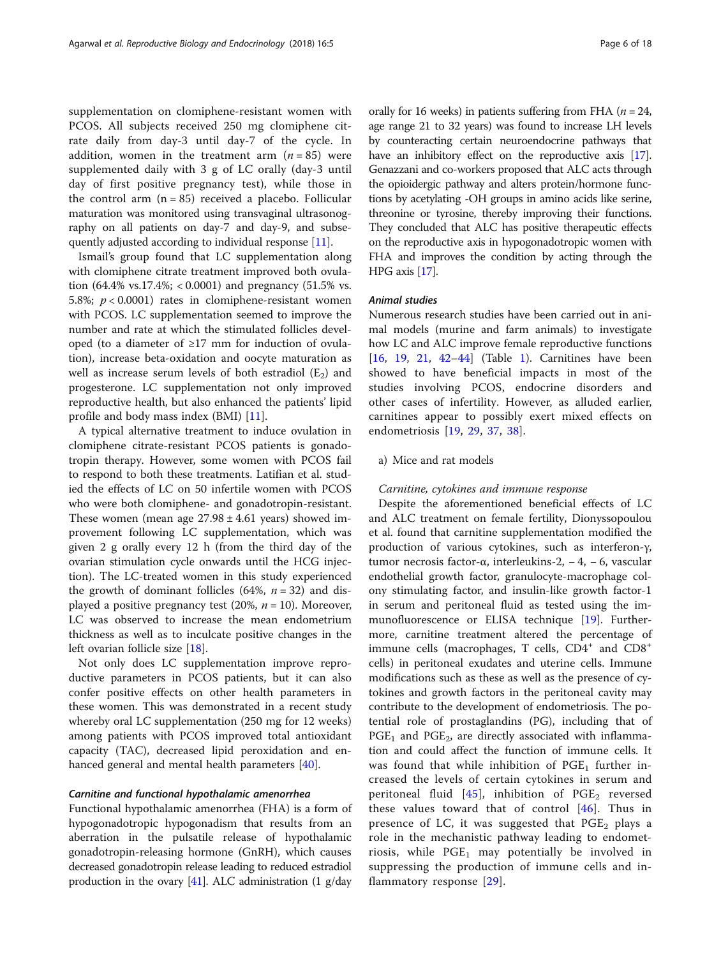supplementation on clomiphene-resistant women with PCOS. All subjects received 250 mg clomiphene citrate daily from day-3 until day-7 of the cycle. In addition, women in the treatment arm  $(n = 85)$  were supplemented daily with 3 g of LC orally (day-3 until day of first positive pregnancy test), while those in the control arm  $(n = 85)$  received a placebo. Follicular maturation was monitored using transvaginal ultrasonography on all patients on day-7 and day-9, and subsequently adjusted according to individual response [\[11\]](#page-15-0).

Ismail's group found that LC supplementation along with clomiphene citrate treatment improved both ovulation  $(64.4\% \text{ vs. } 17.4\%; < 0.0001)$  and pregnancy  $(51.5\% \text{ vs. } 17.4\%; < 0.0001)$ 5.8%;  $p < 0.0001$ ) rates in clomiphene-resistant women with PCOS. LC supplementation seemed to improve the number and rate at which the stimulated follicles developed (to a diameter of ≥17 mm for induction of ovulation), increase beta-oxidation and oocyte maturation as well as increase serum levels of both estradiol  $(E_2)$  and progesterone. LC supplementation not only improved reproductive health, but also enhanced the patients' lipid profile and body mass index (BMI) [[11\]](#page-15-0).

A typical alternative treatment to induce ovulation in clomiphene citrate-resistant PCOS patients is gonadotropin therapy. However, some women with PCOS fail to respond to both these treatments. Latifian et al. studied the effects of LC on 50 infertile women with PCOS who were both clomiphene- and gonadotropin-resistant. These women (mean age  $27.98 \pm 4.61$  years) showed improvement following LC supplementation, which was given 2 g orally every 12 h (from the third day of the ovarian stimulation cycle onwards until the HCG injection). The LC-treated women in this study experienced the growth of dominant follicles (64%,  $n = 32$ ) and displayed a positive pregnancy test (20%,  $n = 10$ ). Moreover, LC was observed to increase the mean endometrium thickness as well as to inculcate positive changes in the left ovarian follicle size [[18\]](#page-15-0).

Not only does LC supplementation improve reproductive parameters in PCOS patients, but it can also confer positive effects on other health parameters in these women. This was demonstrated in a recent study whereby oral LC supplementation (250 mg for 12 weeks) among patients with PCOS improved total antioxidant capacity (TAC), decreased lipid peroxidation and en-hanced general and mental health parameters [[40\]](#page-16-0).

#### Carnitine and functional hypothalamic amenorrhea

Functional hypothalamic amenorrhea (FHA) is a form of hypogonadotropic hypogonadism that results from an aberration in the pulsatile release of hypothalamic gonadotropin-releasing hormone (GnRH), which causes decreased gonadotropin release leading to reduced estradiol production in the ovary  $[41]$  $[41]$  $[41]$ . ALC administration  $(1 \text{ g/day})$  orally for 16 weeks) in patients suffering from FHA ( $n = 24$ , age range 21 to 32 years) was found to increase LH levels by counteracting certain neuroendocrine pathways that have an inhibitory effect on the reproductive axis [\[17](#page-15-0)]. Genazzani and co-workers proposed that ALC acts through the opioidergic pathway and alters protein/hormone functions by acetylating -OH groups in amino acids like serine, threonine or tyrosine, thereby improving their functions. They concluded that ALC has positive therapeutic effects on the reproductive axis in hypogonadotropic women with FHA and improves the condition by acting through the HPG axis [[17](#page-15-0)].

#### Animal studies

Numerous research studies have been carried out in animal models (murine and farm animals) to investigate how LC and ALC improve female reproductive functions [[16,](#page-15-0) [19](#page-15-0), [21](#page-15-0), [42](#page-16-0)-[44](#page-16-0)] (Table [1](#page-3-0)). Carnitines have been showed to have beneficial impacts in most of the studies involving PCOS, endocrine disorders and other cases of infertility. However, as alluded earlier, carnitines appear to possibly exert mixed effects on endometriosis [\[19](#page-15-0), [29,](#page-15-0) [37,](#page-16-0) [38\]](#page-16-0).

#### a) Mice and rat models

#### Carnitine, cytokines and immune response

Despite the aforementioned beneficial effects of LC and ALC treatment on female fertility, Dionyssopoulou et al. found that carnitine supplementation modified the production of various cytokines, such as interferon-γ, tumor necrosis factor-α, interleukins-2,  $-4$ ,  $-6$ , vascular endothelial growth factor, granulocyte-macrophage colony stimulating factor, and insulin-like growth factor-1 in serum and peritoneal fluid as tested using the immunofluorescence or ELISA technique [\[19\]](#page-15-0). Furthermore, carnitine treatment altered the percentage of immune cells (macrophages, T cells, CD4<sup>+</sup> and CD8<sup>+</sup> cells) in peritoneal exudates and uterine cells. Immune modifications such as these as well as the presence of cytokines and growth factors in the peritoneal cavity may contribute to the development of endometriosis. The potential role of prostaglandins (PG), including that of  $PGE_1$  and  $PGE_2$ , are directly associated with inflammation and could affect the function of immune cells. It was found that while inhibition of  $PGE<sub>1</sub>$  further increased the levels of certain cytokines in serum and peritoneal fluid [[45](#page-16-0)], inhibition of  $PGE_2$  reversed these values toward that of control [[46](#page-16-0)]. Thus in presence of LC, it was suggested that  $PGE_2$  plays a role in the mechanistic pathway leading to endometriosis, while  $PGE_1$  may potentially be involved in suppressing the production of immune cells and inflammatory response [[29](#page-15-0)].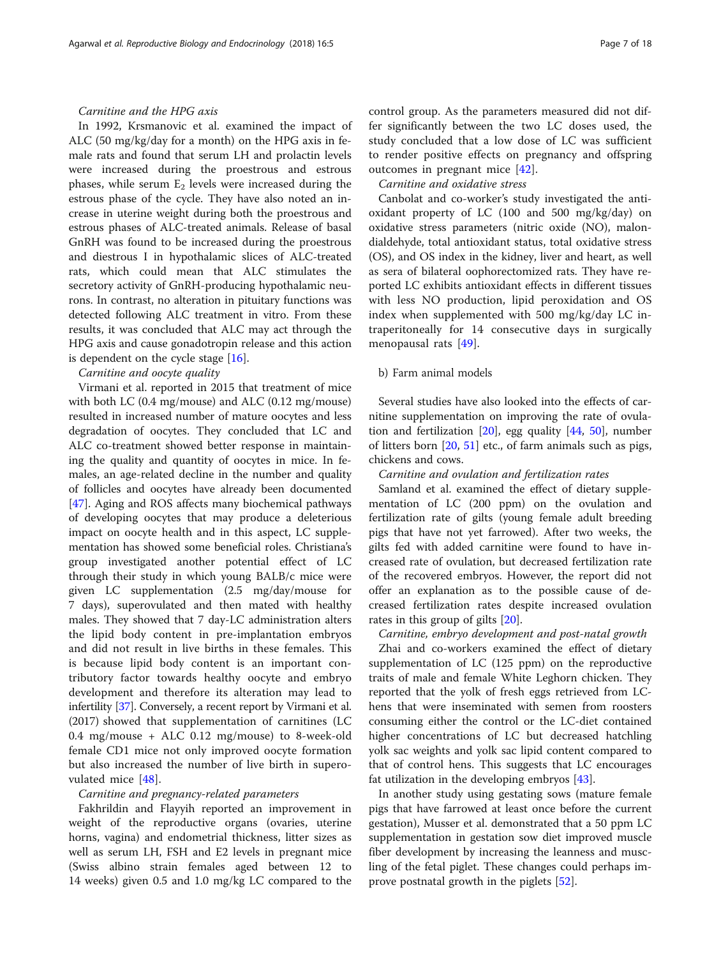### Carnitine and the HPG axis

In 1992, Krsmanovic et al. examined the impact of ALC (50 mg/kg/day for a month) on the HPG axis in female rats and found that serum LH and prolactin levels were increased during the proestrous and estrous phases, while serum  $E_2$  levels were increased during the estrous phase of the cycle. They have also noted an increase in uterine weight during both the proestrous and estrous phases of ALC-treated animals. Release of basal GnRH was found to be increased during the proestrous and diestrous I in hypothalamic slices of ALC-treated rats, which could mean that ALC stimulates the secretory activity of GnRH-producing hypothalamic neurons. In contrast, no alteration in pituitary functions was detected following ALC treatment in vitro. From these results, it was concluded that ALC may act through the HPG axis and cause gonadotropin release and this action is dependent on the cycle stage  $[16]$  $[16]$ .

#### Carnitine and oocyte quality

Virmani et al. reported in 2015 that treatment of mice with both LC (0.4 mg/mouse) and ALC (0.12 mg/mouse) resulted in increased number of mature oocytes and less degradation of oocytes. They concluded that LC and ALC co-treatment showed better response in maintaining the quality and quantity of oocytes in mice. In females, an age-related decline in the number and quality of follicles and oocytes have already been documented [[47\]](#page-16-0). Aging and ROS affects many biochemical pathways of developing oocytes that may produce a deleterious impact on oocyte health and in this aspect, LC supplementation has showed some beneficial roles. Christiana's group investigated another potential effect of LC through their study in which young BALB/c mice were given LC supplementation (2.5 mg/day/mouse for 7 days), superovulated and then mated with healthy males. They showed that 7 day-LC administration alters the lipid body content in pre-implantation embryos and did not result in live births in these females. This is because lipid body content is an important contributory factor towards healthy oocyte and embryo development and therefore its alteration may lead to infertility [\[37\]](#page-16-0). Conversely, a recent report by Virmani et al. (2017) showed that supplementation of carnitines (LC 0.4 mg/mouse + ALC 0.12 mg/mouse) to 8-week-old female CD1 mice not only improved oocyte formation but also increased the number of live birth in superovulated mice [[48\]](#page-16-0).

#### Carnitine and pregnancy-related parameters

Fakhrildin and Flayyih reported an improvement in weight of the reproductive organs (ovaries, uterine horns, vagina) and endometrial thickness, litter sizes as well as serum LH, FSH and E2 levels in pregnant mice (Swiss albino strain females aged between 12 to 14 weeks) given 0.5 and 1.0 mg/kg LC compared to the control group. As the parameters measured did not differ significantly between the two LC doses used, the study concluded that a low dose of LC was sufficient to render positive effects on pregnancy and offspring outcomes in pregnant mice [[42](#page-16-0)].

#### Carnitine and oxidative stress

Canbolat and co-worker's study investigated the antioxidant property of LC (100 and 500 mg/kg/day) on oxidative stress parameters (nitric oxide (NO), malondialdehyde, total antioxidant status, total oxidative stress (OS), and OS index in the kidney, liver and heart, as well as sera of bilateral oophorectomized rats. They have reported LC exhibits antioxidant effects in different tissues with less NO production, lipid peroxidation and OS index when supplemented with 500 mg/kg/day LC intraperitoneally for 14 consecutive days in surgically menopausal rats [[49](#page-16-0)].

#### b) Farm animal models

Several studies have also looked into the effects of carnitine supplementation on improving the rate of ovulation and fertilization  $[20]$  $[20]$  $[20]$ , egg quality  $[44, 50]$  $[44, 50]$  $[44, 50]$  $[44, 50]$ , number of litters born [[20,](#page-15-0) [51\]](#page-16-0) etc., of farm animals such as pigs, chickens and cows.

#### Carnitine and ovulation and fertilization rates

Samland et al. examined the effect of dietary supplementation of LC (200 ppm) on the ovulation and fertilization rate of gilts (young female adult breeding pigs that have not yet farrowed). After two weeks, the gilts fed with added carnitine were found to have increased rate of ovulation, but decreased fertilization rate of the recovered embryos. However, the report did not offer an explanation as to the possible cause of decreased fertilization rates despite increased ovulation rates in this group of gilts [[20](#page-15-0)].

Carnitine, embryo development and post-natal growth Zhai and co-workers examined the effect of dietary supplementation of LC (125 ppm) on the reproductive traits of male and female White Leghorn chicken. They reported that the yolk of fresh eggs retrieved from LChens that were inseminated with semen from roosters consuming either the control or the LC-diet contained higher concentrations of LC but decreased hatchling yolk sac weights and yolk sac lipid content compared to that of control hens. This suggests that LC encourages fat utilization in the developing embryos [[43\]](#page-16-0).

In another study using gestating sows (mature female pigs that have farrowed at least once before the current gestation), Musser et al. demonstrated that a 50 ppm LC supplementation in gestation sow diet improved muscle fiber development by increasing the leanness and muscling of the fetal piglet. These changes could perhaps improve postnatal growth in the piglets [[52\]](#page-16-0).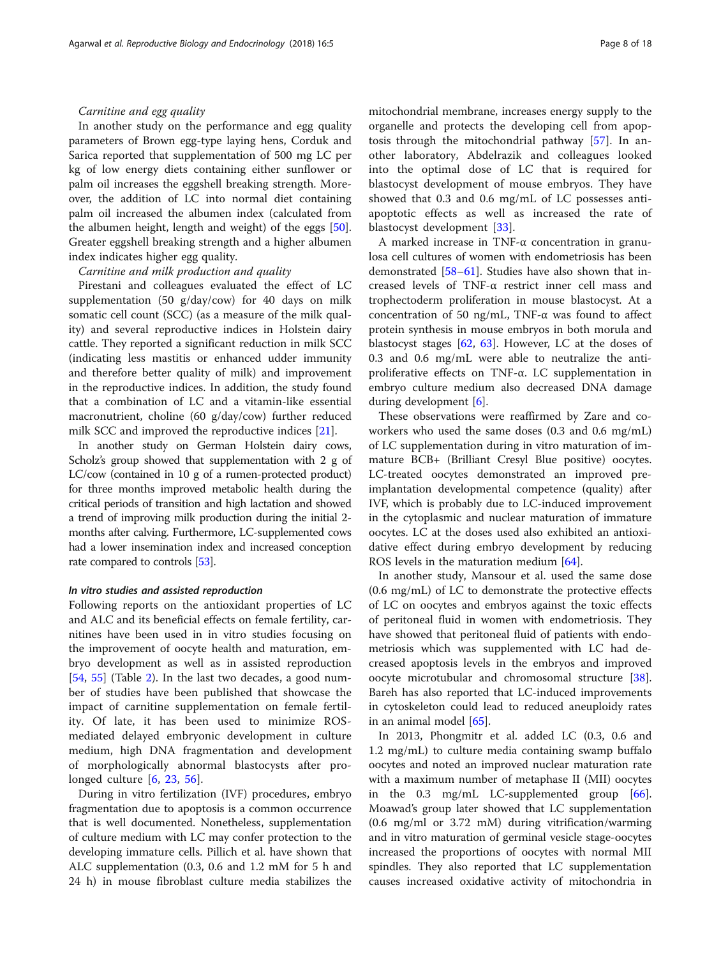## Carnitine and egg quality

In another study on the performance and egg quality parameters of Brown egg-type laying hens, Corduk and Sarica reported that supplementation of 500 mg LC per kg of low energy diets containing either sunflower or palm oil increases the eggshell breaking strength. Moreover, the addition of LC into normal diet containing palm oil increased the albumen index (calculated from the albumen height, length and weight) of the eggs [\[50](#page-16-0)]. Greater eggshell breaking strength and a higher albumen index indicates higher egg quality.

#### Carnitine and milk production and quality

Pirestani and colleagues evaluated the effect of LC supplementation (50 g/day/cow) for 40 days on milk somatic cell count (SCC) (as a measure of the milk quality) and several reproductive indices in Holstein dairy cattle. They reported a significant reduction in milk SCC (indicating less mastitis or enhanced udder immunity and therefore better quality of milk) and improvement in the reproductive indices. In addition, the study found that a combination of LC and a vitamin-like essential macronutrient, choline (60 g/day/cow) further reduced milk SCC and improved the reproductive indices [[21](#page-15-0)].

In another study on German Holstein dairy cows, Scholz's group showed that supplementation with 2 g of LC/cow (contained in 10 g of a rumen-protected product) for three months improved metabolic health during the critical periods of transition and high lactation and showed a trend of improving milk production during the initial 2 months after calving. Furthermore, LC-supplemented cows had a lower insemination index and increased conception rate compared to controls [\[53](#page-16-0)].

#### In vitro studies and assisted reproduction

Following reports on the antioxidant properties of LC and ALC and its beneficial effects on female fertility, carnitines have been used in in vitro studies focusing on the improvement of oocyte health and maturation, embryo development as well as in assisted reproduction [[54,](#page-16-0) [55](#page-16-0)] (Table [2](#page-8-0)). In the last two decades, a good number of studies have been published that showcase the impact of carnitine supplementation on female fertility. Of late, it has been used to minimize ROSmediated delayed embryonic development in culture medium, high DNA fragmentation and development of morphologically abnormal blastocysts after prolonged culture [\[6](#page-15-0), [23](#page-15-0), [56\]](#page-16-0).

During in vitro fertilization (IVF) procedures, embryo fragmentation due to apoptosis is a common occurrence that is well documented. Nonetheless, supplementation of culture medium with LC may confer protection to the developing immature cells. Pillich et al. have shown that ALC supplementation (0.3, 0.6 and 1.2 mM for 5 h and 24 h) in mouse fibroblast culture media stabilizes the

mitochondrial membrane, increases energy supply to the organelle and protects the developing cell from apoptosis through the mitochondrial pathway [\[57](#page-16-0)]. In another laboratory, Abdelrazik and colleagues looked into the optimal dose of LC that is required for blastocyst development of mouse embryos. They have showed that 0.3 and 0.6 mg/mL of LC possesses antiapoptotic effects as well as increased the rate of blastocyst development [\[33](#page-16-0)].

A marked increase in TNF-α concentration in granulosa cell cultures of women with endometriosis has been demonstrated [[58](#page-16-0)–[61](#page-16-0)]. Studies have also shown that increased levels of TNF-α restrict inner cell mass and trophectoderm proliferation in mouse blastocyst. At a concentration of 50 ng/mL, TNF-α was found to affect protein synthesis in mouse embryos in both morula and blastocyst stages  $[62, 63]$  $[62, 63]$  $[62, 63]$  $[62, 63]$ . However, LC at the doses of 0.3 and 0.6 mg/mL were able to neutralize the antiproliferative effects on TNF-α. LC supplementation in embryo culture medium also decreased DNA damage during development [\[6](#page-15-0)].

These observations were reaffirmed by Zare and coworkers who used the same doses (0.3 and 0.6 mg/mL) of LC supplementation during in vitro maturation of immature BCB+ (Brilliant Cresyl Blue positive) oocytes. LC-treated oocytes demonstrated an improved preimplantation developmental competence (quality) after IVF, which is probably due to LC-induced improvement in the cytoplasmic and nuclear maturation of immature oocytes. LC at the doses used also exhibited an antioxidative effect during embryo development by reducing ROS levels in the maturation medium [[64](#page-16-0)].

In another study, Mansour et al. used the same dose (0.6 mg/mL) of LC to demonstrate the protective effects of LC on oocytes and embryos against the toxic effects of peritoneal fluid in women with endometriosis. They have showed that peritoneal fluid of patients with endometriosis which was supplemented with LC had decreased apoptosis levels in the embryos and improved oocyte microtubular and chromosomal structure [\[38](#page-16-0)]. Bareh has also reported that LC-induced improvements in cytoskeleton could lead to reduced aneuploidy rates in an animal model [\[65](#page-16-0)].

In 2013, Phongmitr et al. added LC (0.3, 0.6 and 1.2 mg/mL) to culture media containing swamp buffalo oocytes and noted an improved nuclear maturation rate with a maximum number of metaphase II (MII) oocytes in the 0.3 mg/mL LC-supplemented group [\[66](#page-16-0)]. Moawad's group later showed that LC supplementation (0.6 mg/ml or 3.72 mM) during vitrification/warming and in vitro maturation of germinal vesicle stage-oocytes increased the proportions of oocytes with normal MII spindles. They also reported that LC supplementation causes increased oxidative activity of mitochondria in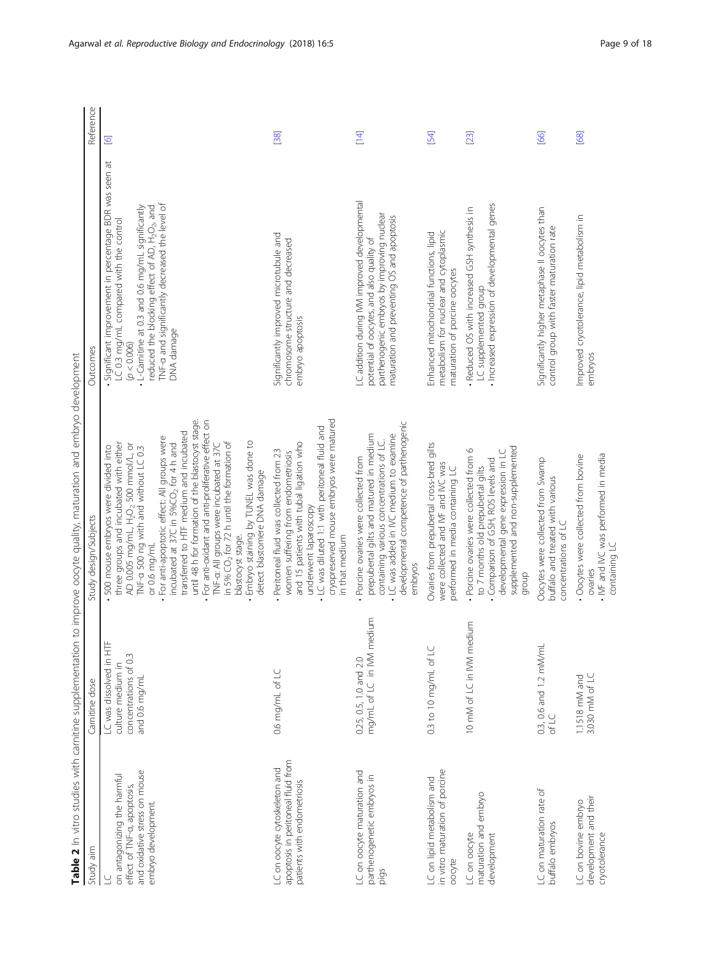<span id="page-8-0"></span>

|                                                                                                                    |                                                                                            | Table 2 In vitro studies with carnitine supplementation to improve oocyte quality, maturation and embryo development                                                                                                                                                                                                                                                                                                                                                                                                                                                                                                                                       |                                                                                                                                                                                                                                                                                                            |                |
|--------------------------------------------------------------------------------------------------------------------|--------------------------------------------------------------------------------------------|------------------------------------------------------------------------------------------------------------------------------------------------------------------------------------------------------------------------------------------------------------------------------------------------------------------------------------------------------------------------------------------------------------------------------------------------------------------------------------------------------------------------------------------------------------------------------------------------------------------------------------------------------------|------------------------------------------------------------------------------------------------------------------------------------------------------------------------------------------------------------------------------------------------------------------------------------------------------------|----------------|
| Study aim                                                                                                          | Carnitine dose                                                                             | Study design/Subjects                                                                                                                                                                                                                                                                                                                                                                                                                                                                                                                                                                                                                                      | Outcomes                                                                                                                                                                                                                                                                                                   | Reference      |
| and oxidative stress on mouse<br>on antagonizing the harmful<br>effect of TNF-a, apoptosis,<br>embryo development. | μ<br>LC was dissolved in HT<br>concentrations of 0.3<br>culture medium in<br>and 0.6 mg/mL | until 48 h for formation of the blastocyst stage.<br>· For anti-oxidant and anti-proliferative effect on<br>transferred to HTF medium and incubated<br>· For anti-apoptotic effect: All groups were<br>- Embryo staining by TUNEL was done to<br>in 5% $CO2$ for 72 h until the formation of<br>three groups and incubated with either<br>incubated at 37C in 5%CO <sub>2</sub> for 4 h and<br>AD 0.005 mg/mL, H <sub>2</sub> O <sub>2</sub> 500 mmol/L, or<br>TNF-a: All groups were incubated at 37C<br>500 mouse embryos were divided into<br>TNF-a 500 ng with and without LC 0.3<br>detect blastomere DNA damage<br>blastocyst stage.<br>or 0.6 mg/mL | Significant improvement in percentage BDR was seen at<br>INF-a and significantly decreased the level of<br>L-Carnitine at 0.3 and 0.6 mg/mL significantly<br>reduced the blocking effect of AD, H <sub>2</sub> O <sub>2</sub> , and<br>LC 0.3 mg/mL compared with the control<br>DNA damage<br>(p < 0.006) | $\overline{6}$ |
| apoptosis in peritoneal fluid from<br>LC on oocyte cytoskeleton and<br>patients with endometriosis                 | 0.6 mg/mL of LC                                                                            | cryopreserved mouse embryos were matured<br>- LC was diluted 1:1 with peritoneal fluid and<br>and 15 patients with tubal ligation who<br>· Peritoneal fluid was collected from 23<br>women suffering from endometriosis<br>underwent laparoscopy<br>in that medium                                                                                                                                                                                                                                                                                                                                                                                         | Significantly improved microtubule and<br>chromosome structure and decreased<br>embryo apoptosis                                                                                                                                                                                                           | 38             |
| LC on oocyte maturation and<br>parthenogenetic embryos in<br>pigs                                                  | mg/mL of LC in NM medium<br>0.25, 0.5, 1.0 and 2.0                                         | developmental competence of parthenogenic<br>prepubertal gilts and matured in medium<br>• LC was added in IVC medium to examine<br>containing various concentrations of LC.<br>Porcine ovaries were collected from<br>embryos                                                                                                                                                                                                                                                                                                                                                                                                                              | LC addition during IVM improved developmental<br>parthenogenic embryos by improving nuclear<br>maturation and preventing OS and apoptosis<br>potential of oocytes, and also quality of                                                                                                                     | $[14]$         |
| in vitro maturation of porcine<br>LC on lipid metabolism and<br>oocyte                                             | 0.3 to 10 mg/mL of LC                                                                      | Ovaries from prepubertal cross-bred gilts<br>were collected and IVF and IVC was<br>performed in media containing LC                                                                                                                                                                                                                                                                                                                                                                                                                                                                                                                                        | metabolism for nuclear and cytoplasmic<br>Enhanced mitochondrial functions, lipid<br>maturation of porcine oocytes                                                                                                                                                                                         | [54]           |
| maturation and embryo<br>LC on oocyte<br>development                                                               | 10 mM of LC in IVM medium                                                                  | supplemented and non-supplemented<br>· Porcine ovaries were collected from 6<br>developmental gene expression in LC<br>Comparison of GSH, ROS levels and<br>to 7 months old prepubertal gilts<br>group                                                                                                                                                                                                                                                                                                                                                                                                                                                     | Increased expression of developmental genes<br>Reduced OS with increased GSH synthesis in<br>LC supplemented group                                                                                                                                                                                         | $[23]$         |
| LC on maturation rate of<br>buffalo embryos                                                                        | $0.3$ , 0.6 and 1.2 mM/mL<br>of LC                                                         | Oocytes were collected from Swamp<br>buffalo and treated with various<br>concentrations of LC                                                                                                                                                                                                                                                                                                                                                                                                                                                                                                                                                              | Significantly higher metaphase II oocytes than<br>control group with faster maturation rate                                                                                                                                                                                                                | [66]           |
| development and their<br>LC on bovine embryo<br>cryotolerance                                                      | 3.030 mM of LC<br>1.1518 mM and                                                            | . IVF and IVC was performed in media<br>Oocytes were collected from bovine<br>containing LC<br>ovaries                                                                                                                                                                                                                                                                                                                                                                                                                                                                                                                                                     | Improved cryotolerance, lipid metabolism in<br>embryos                                                                                                                                                                                                                                                     | [68]           |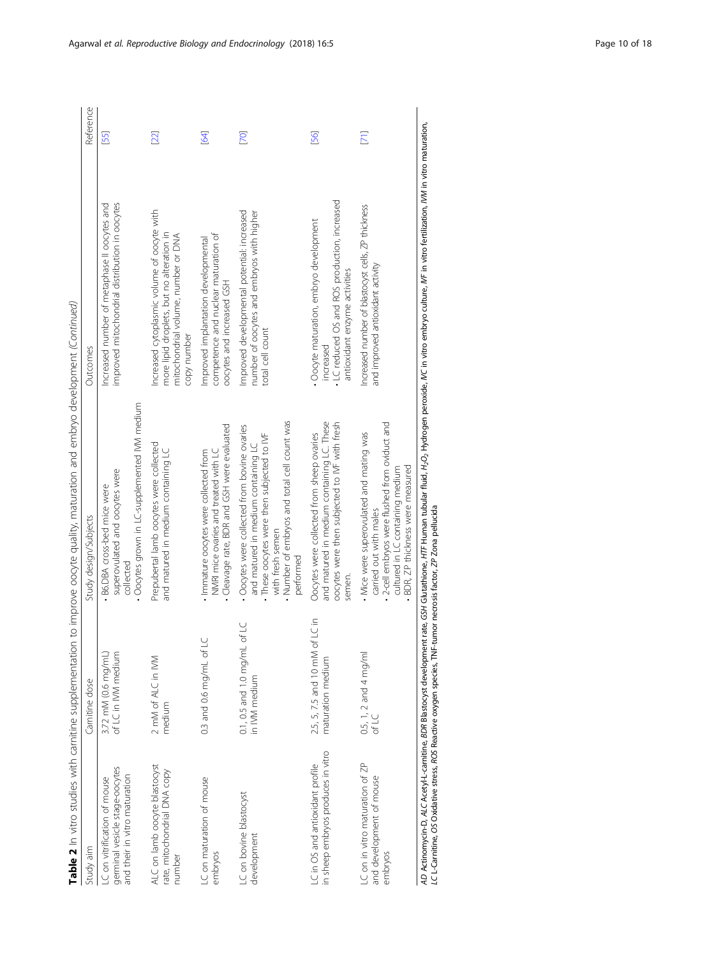| ۱<br>i<br>ċ<br>ï                              |
|-----------------------------------------------|
| ł                                             |
| I                                             |
| l<br>I<br>١                                   |
|                                               |
| ï<br>I<br>!                                   |
| I                                             |
| l                                             |
|                                               |
| ī                                             |
| I                                             |
| Į                                             |
| j                                             |
| j<br>i<br>ਨ                                   |
|                                               |
| $\overline{\mathbf{C}}$<br>$\frac{1}{2}$<br>ś |
|                                               |
| ť                                             |
| į                                             |
| ï                                             |
| l<br>i<br>١                                   |
| i<br>١<br>l                                   |
| ;<br>i                                        |
| j<br>j<br>j<br>١                              |
| ļ<br>ļ                                        |
| Š                                             |
| J<br>Į                                        |
|                                               |
| ļ<br>ł                                        |
| ţ<br>Ş<br>i                                   |
| $\overline{1}$<br>j<br>$\vdots$               |
| ent.                                          |
| š                                             |
| Ś<br>j                                        |
| ç<br>j<br>֘֝֬<br>ţ                            |
| 1                                             |
| ļ                                             |
| ļ<br>Ì                                        |
| j                                             |
|                                               |
|                                               |
| j<br>j<br>j                                   |
| i                                             |
|                                               |
| Ě<br>֚֚֚֡                                     |
| $\overline{\phantom{a}}$                      |
| I                                             |
| ֧֦֧֢֦֧֦֧֦֧֦֧֧֦֧֧֧֧֦֧֧֦֧֦֧֦֧֦֧֦֧֧֦֧֚֬֓֓֓֓֓֓    |
| è<br>i<br>ļ                                   |
| I                                             |

| Table 2 In vitro studies with carnitine supplementation                                         |                                                     | to improve oocyte quality, maturation and embryo development (Continued)                                                                                                                                           |                                                                                                                                                |           |
|-------------------------------------------------------------------------------------------------|-----------------------------------------------------|--------------------------------------------------------------------------------------------------------------------------------------------------------------------------------------------------------------------|------------------------------------------------------------------------------------------------------------------------------------------------|-----------|
| Study aim                                                                                       | Carnitine dose                                      | Study design/Subjects                                                                                                                                                                                              | Outcomes                                                                                                                                       | Reference |
| germinal vesicle stage-oocytes<br>and their in vitro maturation<br>LC on vitrification of mouse | of LC in IVM medium<br>3.72 mM (0.6 mg/mL)          | Oocytes grown in LC-supplemented IVM medium<br>superovulated and oocytes were<br>B6.DBA cross-bed mice were<br>collected                                                                                           | improved mitochondrial distribution in oocytes<br>Increased number of metaphase II oocytes and                                                 | [55]      |
| ALC on lamb oocyte blastocyst<br>rate, mitochondrial DNA copy<br>number                         | 2 mM of ALC in IVM<br>medium                        | Prepubertal lamb oocytes were collected<br>and matured in medium containing LC                                                                                                                                     | Increased cytoplasmic volume of oocyte with<br>more lipid droplets, but no alteration in<br>mitochondrial volume, number or DNA<br>copy number | $[22]$    |
| LC on maturation of mouse<br>embryos                                                            | 0.3 and 0.6 mg/mL of LC                             | Cleavage rate, BDR and GSH were evaluated<br>· Immature oocytes were collected from<br>NMRI mice ovaries and treated with LC                                                                                       | competence and nuclear maturation of<br>Improved implantation developmental<br>oocytes and increased GSH                                       | 54        |
| LC on bovine blastocyst<br>development                                                          | of LC<br>$0.1$ , $0.5$ and $1.0$ mg/mL in NM medium | . Number of embryos and total cell count was<br>· Oocytes were collected from bovine ovaries<br>· These oocytes were then subjected to IVF<br>and matured in medium containing LC<br>with fresh semen<br>performed | Improved developmental potential: increased<br>number of oocytes and embryos with higher<br>total cell count                                   | [70]      |
| in sheep embryos produces in vitro<br>LC in OS and antioxidant profile                          | 2.5, 5, 7.5 and 10 mM of LC in<br>maturation medium | and matured in medium containing LC. These<br>oocytes were then subjected to IVF with fresh<br>Oocytes were collected from sheep ovaries<br>semen.                                                                 | LC reduced OS and ROS production, increased<br>· Oocyte maturation, embryo development<br>antioxidant enzyme activities<br>increased           | [56]      |
| LC on in vitro maturation of ZP<br>and development of mouse<br>embryos                          | 0.5, 1, 2 and 4 mg/ml<br>of LC                      | - 2-cell embryos were flushed from oviduct and<br>. Mice were superovulated and mating was<br>BDR, ZP thickness were measured<br>cultured in LC containing medium<br>carried out with males                        | Increased number of blastocyst cells, ZP thickness<br>and improved antioxidant activity                                                        | [71]      |

AD Actinomycin-D, ALC Acetyl--camitine, BDR Blastocyst development rate, GSH Glutathione, H/TF Human tubular fluid, H<sub>2</sub>O<sub>2</sub> Hydrogen peroxide, IVC in vitro embryo culture, IVF in vitro fertilization, IVM in vitro maturati AD Actinomycin-D, ALC Acetyl-L-carnitine, BDR Blastocyst development rate, GSH Glutathione, HTF Human tubular fluid, H2O2 Hydrogen peroxide, IVC in vitro embryo culture, IVF in vitro fertilization, IVM in vitro maturation, LC L-Carnitine, OS Oxidative stress, ROS Reactive oxygen species, TNF-tumor necrosis factor, ZP Zona pellucida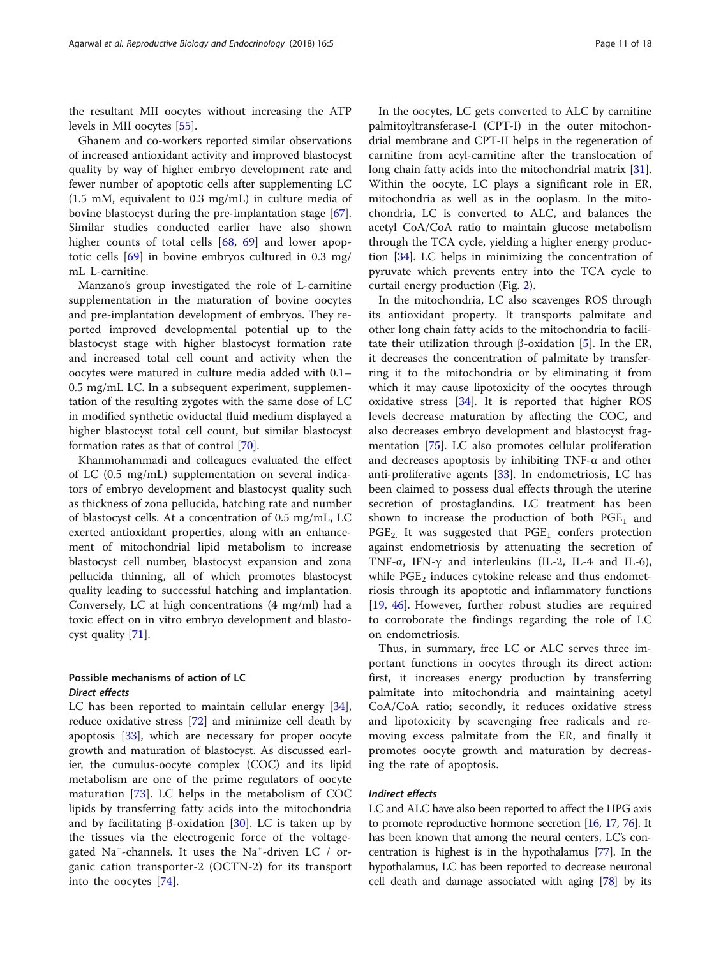the resultant MII oocytes without increasing the ATP levels in MII oocytes [[55\]](#page-16-0).

Ghanem and co-workers reported similar observations of increased antioxidant activity and improved blastocyst quality by way of higher embryo development rate and fewer number of apoptotic cells after supplementing LC (1.5 mM, equivalent to 0.3 mg/mL) in culture media of bovine blastocyst during the pre-implantation stage [\[67](#page-16-0)]. Similar studies conducted earlier have also shown higher counts of total cells [[68,](#page-16-0) [69\]](#page-16-0) and lower apoptotic cells [\[69](#page-16-0)] in bovine embryos cultured in 0.3 mg/ mL L-carnitine.

Manzano's group investigated the role of L-carnitine supplementation in the maturation of bovine oocytes and pre-implantation development of embryos. They reported improved developmental potential up to the blastocyst stage with higher blastocyst formation rate and increased total cell count and activity when the oocytes were matured in culture media added with 0.1– 0.5 mg/mL LC. In a subsequent experiment, supplementation of the resulting zygotes with the same dose of LC in modified synthetic oviductal fluid medium displayed a higher blastocyst total cell count, but similar blastocyst formation rates as that of control [\[70](#page-16-0)].

Khanmohammadi and colleagues evaluated the effect of LC (0.5 mg/mL) supplementation on several indicators of embryo development and blastocyst quality such as thickness of zona pellucida, hatching rate and number of blastocyst cells. At a concentration of 0.5 mg/mL, LC exerted antioxidant properties, along with an enhancement of mitochondrial lipid metabolism to increase blastocyst cell number, blastocyst expansion and zona pellucida thinning, all of which promotes blastocyst quality leading to successful hatching and implantation. Conversely, LC at high concentrations (4 mg/ml) had a toxic effect on in vitro embryo development and blastocyst quality [\[71\]](#page-16-0).

# Possible mechanisms of action of LC Direct effects

LC has been reported to maintain cellular energy [\[34](#page-16-0)], reduce oxidative stress [[72](#page-16-0)] and minimize cell death by apoptosis [\[33](#page-16-0)], which are necessary for proper oocyte growth and maturation of blastocyst. As discussed earlier, the cumulus-oocyte complex (COC) and its lipid metabolism are one of the prime regulators of oocyte maturation [[73\]](#page-16-0). LC helps in the metabolism of COC lipids by transferring fatty acids into the mitochondria and by facilitating  $β$ -oxidation [[30\]](#page-15-0). LC is taken up by the tissues via the electrogenic force of the voltagegated Na<sup>+</sup>-channels. It uses the Na<sup>+</sup>-driven LC / organic cation transporter-2 (OCTN-2) for its transport into the oocytes [\[74](#page-16-0)].

In the oocytes, LC gets converted to ALC by carnitine palmitoyltransferase-I (CPT-I) in the outer mitochondrial membrane and CPT-II helps in the regeneration of carnitine from acyl-carnitine after the translocation of long chain fatty acids into the mitochondrial matrix [\[31](#page-15-0)]. Within the oocyte, LC plays a significant role in ER, mitochondria as well as in the ooplasm. In the mitochondria, LC is converted to ALC, and balances the acetyl CoA/CoA ratio to maintain glucose metabolism through the TCA cycle, yielding a higher energy production [\[34](#page-16-0)]. LC helps in minimizing the concentration of pyruvate which prevents entry into the TCA cycle to curtail energy production (Fig. [2](#page-11-0)).

In the mitochondria, LC also scavenges ROS through its antioxidant property. It transports palmitate and other long chain fatty acids to the mitochondria to facili-tate their utilization through β-oxidation [[5\]](#page-15-0). In the ER, it decreases the concentration of palmitate by transferring it to the mitochondria or by eliminating it from which it may cause lipotoxicity of the oocytes through oxidative stress [\[34\]](#page-16-0). It is reported that higher ROS levels decrease maturation by affecting the COC, and also decreases embryo development and blastocyst fragmentation [\[75\]](#page-16-0). LC also promotes cellular proliferation and decreases apoptosis by inhibiting  $TNF-\alpha$  and other anti-proliferative agents [\[33\]](#page-16-0). In endometriosis, LC has been claimed to possess dual effects through the uterine secretion of prostaglandins. LC treatment has been shown to increase the production of both  $PGE<sub>1</sub>$  and  $PGE_2$ . It was suggested that  $PGE_1$  confers protection against endometriosis by attenuating the secretion of TNF- $\alpha$ , IFN- $\gamma$  and interleukins (IL-2, IL-4 and IL-6), while  $PGE<sub>2</sub>$  induces cytokine release and thus endometriosis through its apoptotic and inflammatory functions [[19,](#page-15-0) [46\]](#page-16-0). However, further robust studies are required to corroborate the findings regarding the role of LC on endometriosis.

Thus, in summary, free LC or ALC serves three important functions in oocytes through its direct action: first, it increases energy production by transferring palmitate into mitochondria and maintaining acetyl CoA/CoA ratio; secondly, it reduces oxidative stress and lipotoxicity by scavenging free radicals and removing excess palmitate from the ER, and finally it promotes oocyte growth and maturation by decreasing the rate of apoptosis.

#### Indirect effects

LC and ALC have also been reported to affect the HPG axis to promote reproductive hormone secretion [[16](#page-15-0), [17,](#page-15-0) [76](#page-17-0)]. It has been known that among the neural centers, LC's concentration is highest is in the hypothalamus [\[77\]](#page-17-0). In the hypothalamus, LC has been reported to decrease neuronal cell death and damage associated with aging [\[78\]](#page-17-0) by its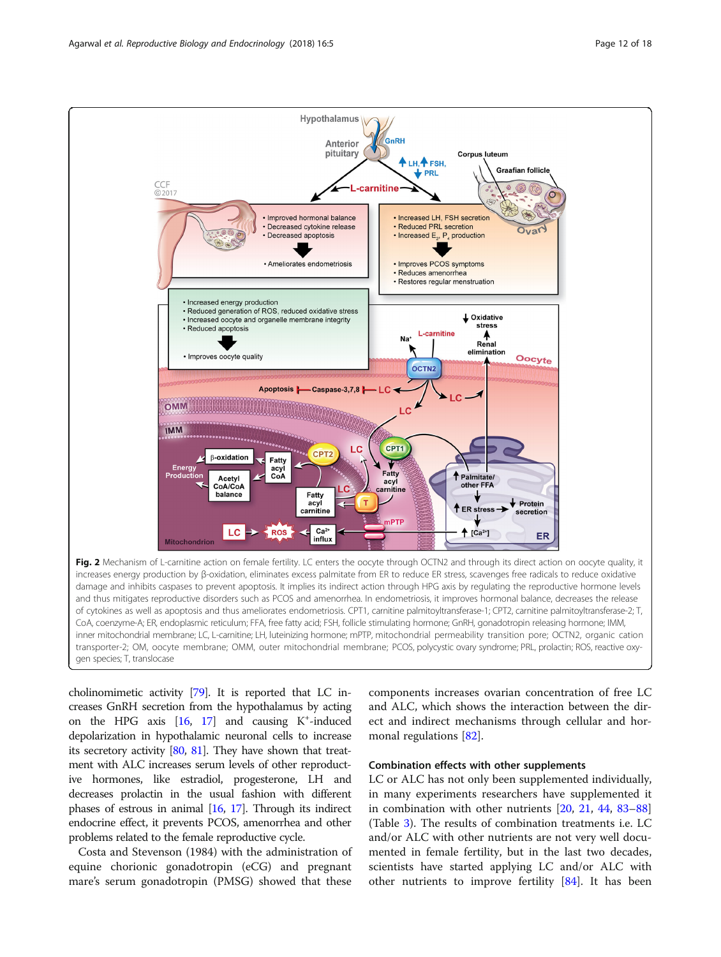<span id="page-11-0"></span>

cholinomimetic activity [[79\]](#page-17-0). It is reported that LC increases GnRH secretion from the hypothalamus by acting on the HPG axis  $[16, 17]$  $[16, 17]$  $[16, 17]$  and causing  $K^+$ -induced depolarization in hypothalamic neuronal cells to increase its secretory activity [\[80](#page-17-0), [81](#page-17-0)]. They have shown that treatment with ALC increases serum levels of other reproductive hormones, like estradiol, progesterone, LH and decreases prolactin in the usual fashion with different phases of estrous in animal [\[16](#page-15-0), [17\]](#page-15-0). Through its indirect endocrine effect, it prevents PCOS, amenorrhea and other problems related to the female reproductive cycle.

Costa and Stevenson (1984) with the administration of equine chorionic gonadotropin (eCG) and pregnant mare's serum gonadotropin (PMSG) showed that these components increases ovarian concentration of free LC and ALC, which shows the interaction between the direct and indirect mechanisms through cellular and hormonal regulations [[82](#page-17-0)].

### Combination effects with other supplements

LC or ALC has not only been supplemented individually, in many experiments researchers have supplemented it in combination with other nutrients [[20](#page-15-0), [21](#page-15-0), [44,](#page-16-0) [83](#page-17-0)–[88](#page-17-0)] (Table [3\)](#page-12-0). The results of combination treatments i.e. LC and/or ALC with other nutrients are not very well documented in female fertility, but in the last two decades, scientists have started applying LC and/or ALC with other nutrients to improve fertility [[84\]](#page-17-0). It has been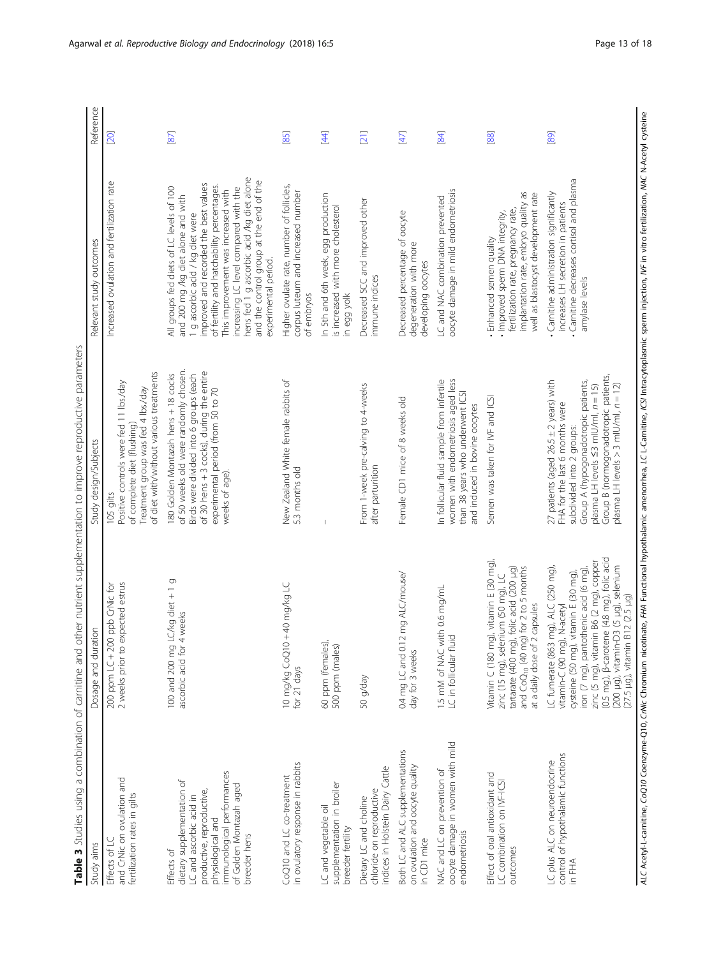| j<br>ī<br>i<br>ł                   |
|------------------------------------|
| i<br>ī<br>j                        |
| i<br>÷                             |
| ļ<br>J                             |
| ř<br>5<br>Ś<br>į                   |
| 1                                  |
|                                    |
| j<br>Ś                             |
| ₹<br>S                             |
| i<br>ÿ                             |
| Ś<br>J<br>ă                        |
| Ï                                  |
| ğ<br>ï                             |
| i<br>١<br>j                        |
| Ś<br>١                             |
| į                                  |
| I<br>)                             |
|                                    |
| j<br>ł<br>١                        |
| i<br>٦                             |
|                                    |
| í<br>j                             |
| ì                                  |
| Ï<br>j<br>$\overline{\phantom{a}}$ |
| į<br>è<br>$\overline{ }$           |
| ś                                  |
| ŗ                                  |
| Í<br>i<br>j                        |
| i<br>ł                             |
| ١<br>j                             |
| ï                                  |
| ₫<br>l                             |
| Ì<br>١                             |
| ï<br>٢                             |
| j                                  |
| I<br>ī<br>١<br>$\overline{1}$      |
| j                                  |
| į                                  |
| iulle                              |
| Ì<br>ī                             |
| $\frac{1}{\zeta}$<br>Í             |
| I                                  |
| ١<br>Ì                             |
| í<br>٢                             |
|                                    |
| $\overline{\mathbf{C}}$<br>ì       |
| Į<br>l                             |
| l<br>ì                             |
| I<br>٢                             |
| ĭ<br>Ì                             |
| j<br>i<br>$\overline{ }$           |
| í                                  |
| j<br>ì<br>Ï                        |
| ١                                  |
| ś<br>⊼                             |
| i                                  |
| m<br>ı                             |
| $\mathbf d$                        |
| ă                                  |
|                                    |

<span id="page-12-0"></span>

|                                                                                                                                                                                                |                                                                                                                                                                                                                                                                                                                           | Table 3 Studies using a combination of carnitine and other nutrient supplementation to improve reproductive parameters                                                                                                                                                 |                                                                                                                                                                                                                                                                                                                                                                                                           |                |
|------------------------------------------------------------------------------------------------------------------------------------------------------------------------------------------------|---------------------------------------------------------------------------------------------------------------------------------------------------------------------------------------------------------------------------------------------------------------------------------------------------------------------------|------------------------------------------------------------------------------------------------------------------------------------------------------------------------------------------------------------------------------------------------------------------------|-----------------------------------------------------------------------------------------------------------------------------------------------------------------------------------------------------------------------------------------------------------------------------------------------------------------------------------------------------------------------------------------------------------|----------------|
| Study aims                                                                                                                                                                                     | Dosage and duration                                                                                                                                                                                                                                                                                                       | Study design/Subjects                                                                                                                                                                                                                                                  | Relevant study outcomes                                                                                                                                                                                                                                                                                                                                                                                   | Reference      |
| and CrNic on ovulation and<br>fertilization rates in gilts<br>Effects of LC                                                                                                                    | 2 weeks prior to expected estrus<br>ppb CrNic for<br>200 ppm LC + 200                                                                                                                                                                                                                                                     | of diet with/without various treatments<br>Positive controls were fed 11 lbs./day<br>Treatment group was fed 4 lbs/day<br>of complete diet (flushing)<br>105 gilts                                                                                                     | Increased ovulation and fertilization rate                                                                                                                                                                                                                                                                                                                                                                | [20]           |
| immunological performances<br>dietary supplementation of<br>of Golden Montazah aged<br>productive, reproductive,<br>LC and ascorbic acid in<br>physiological and<br>breeder hens<br>Effects of | 100 and 200 mg LC/kg diet +1 g<br>weeks<br>ascorbic acid for 4                                                                                                                                                                                                                                                            | of 50 weeks old were randomly chosen.<br>of 30 hens + 3 cocks), during the entire<br>Birds were divided into 6 groups (each<br>180 Golden Montazah hens + 18 cocks<br>experimental period (from 50 to 70<br>weeks of age).                                             | hens fed 1 g ascorbic acid /kg diet alone<br>and the control group at the end of the<br>improved and recorded the best values<br>of fertility and hatchability percentages.<br>All groups fed diets of LC levels of 100<br>increasing LC level compared with the<br>This improvement was increased with<br>and 200 mg /kg diet alone and with<br>1 g ascorbic acid / kg diet were<br>experimental period. | [87]           |
| in ovulatory response in rabbits<br>CoQ10 and LC co-treatment                                                                                                                                  | 40 mg/kg LC<br>10 mg/kg CoQ10 +<br>for 21 days                                                                                                                                                                                                                                                                            | New Zealand White female rabbits of<br>5.3 months old                                                                                                                                                                                                                  | Higher ovulate rate, number of follicles,<br>corpus luteum and increased number<br>of embryos                                                                                                                                                                                                                                                                                                             | [85]           |
| supplementation in broiler<br>LC and vegetable oil<br>breeder fertility                                                                                                                        | 60 ppm (females),<br>500 ppm (males)                                                                                                                                                                                                                                                                                      |                                                                                                                                                                                                                                                                        | In 5th and 6th week, egg production<br>is increased with more cholesterol<br>in egg yolk                                                                                                                                                                                                                                                                                                                  | $\overline{4}$ |
| indices in Holstein Dairy Cattle<br>chloride on reproductive<br>Dietary LC and choline                                                                                                         | 50 g/day                                                                                                                                                                                                                                                                                                                  | From 1-week pre-calving to 4-weeks<br>after parturition                                                                                                                                                                                                                | Decreased SCC and improved other<br>immune indices                                                                                                                                                                                                                                                                                                                                                        | [21]           |
| Both LC and ALC supplementations<br>on ovulation and oocyte quality<br>in CD1 mice                                                                                                             | mg ALC/mouse/<br>0.4 mg LC and 0.12<br>day for 3 weeks                                                                                                                                                                                                                                                                    | Female CD1 mice of 8 weeks old                                                                                                                                                                                                                                         | Decreased percentage of oocyte<br>degeneration with more<br>developing oocytes                                                                                                                                                                                                                                                                                                                            | $[47]$         |
| oocyte damage in women with mild<br>NAC and LC on prevention of<br>endometriosis                                                                                                               | 1.5 mM of NAC with 0.6 mg/mL<br>LC in follicular fluid                                                                                                                                                                                                                                                                    | women with endometriosis aged less<br>In follicular fluid sample from infertile<br>than 38 years who underwent ICSI<br>and induced in bovine oocytes                                                                                                                   | oocyte damage in mild endometriosis<br>LC and NAC combination prevented                                                                                                                                                                                                                                                                                                                                   | [84]           |
| Effect of oral antioxidant and<br>LC combination on IVF-ICSI<br>outcomes                                                                                                                       | Vitamin $\subset$ (180 mg), vitamin E (30 mg),<br>folic acid (200 µg)<br>and CoQ <sub>10</sub> (40 mg) for 2 to 5 months<br>zinc (15 mg), selenium (50 mg), LC<br>capsules<br>at a daily dose of 2<br>tartarate (400 mg),                                                                                                 | Semen was taken for IVF and ICSI                                                                                                                                                                                                                                       | implantation rate, embryo quality as<br>well as blastocyst development rate<br>fertilization rate, pregnancy rate,<br>· Improved sperm DNA integrity,<br>Enhanced semen quality                                                                                                                                                                                                                           | [88]           |
| control of hypothalamic functions<br>LC plus ALC on neuroendocrine<br>in FHA                                                                                                                   | zinc (5 mg), vitamin B6 (2 mg), copper<br>(0.5 mg), β-carotene (4.8 mg), folic acid<br>(200 µg), vitamin-D3 (5 µg), selenium<br>(27.5 µg), vitamin B12 (2.5 µg)<br>LC fumerate (863 mg), ALC (250 mg),<br>iron (7 mg), pantothenic acid (6 mg),<br>cysteine (50 mg), vitamin E (30 mg),<br>N-acetyl<br>vitamin-C (90 mg), | Group B (normogonadotropic patients,<br>27 patients (aged 26.5 ± 2 years) with<br>Group A (hypogonadotropic patients,<br>plasma LH levels > 3 mlU/ml, $n = 12$ )<br>plasma LH levels <3 mlU/ml, n = 15)<br>FHA for the last 6 months were<br>subdivided into 2 groups: | Carnitine decreases cortisol and plasma<br>Carnitine administration significantly<br>increases LH secretion in patients<br>amylase levels                                                                                                                                                                                                                                                                 | [89]           |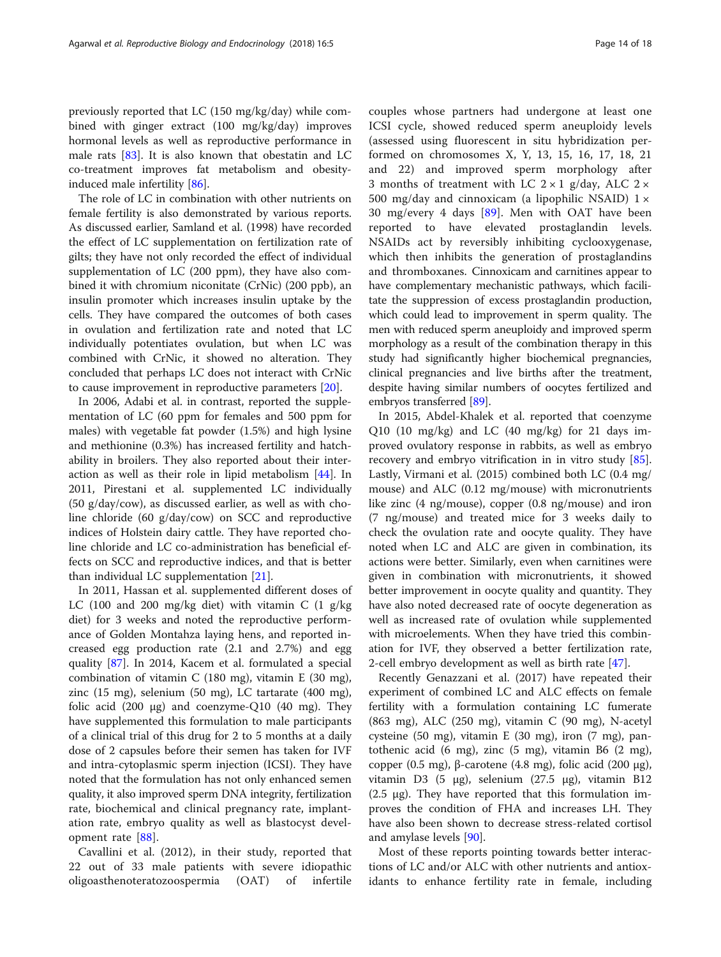previously reported that LC (150 mg/kg/day) while combined with ginger extract (100 mg/kg/day) improves hormonal levels as well as reproductive performance in male rats  $[83]$  $[83]$ . It is also known that obestatin and LC co-treatment improves fat metabolism and obesityinduced male infertility [\[86\]](#page-17-0).

The role of LC in combination with other nutrients on female fertility is also demonstrated by various reports. As discussed earlier, Samland et al. (1998) have recorded the effect of LC supplementation on fertilization rate of gilts; they have not only recorded the effect of individual supplementation of LC (200 ppm), they have also combined it with chromium niconitate (CrNic) (200 ppb), an insulin promoter which increases insulin uptake by the cells. They have compared the outcomes of both cases in ovulation and fertilization rate and noted that LC individually potentiates ovulation, but when LC was combined with CrNic, it showed no alteration. They concluded that perhaps LC does not interact with CrNic to cause improvement in reproductive parameters [[20\]](#page-15-0).

In 2006, Adabi et al. in contrast, reported the supplementation of LC (60 ppm for females and 500 ppm for males) with vegetable fat powder (1.5%) and high lysine and methionine (0.3%) has increased fertility and hatchability in broilers. They also reported about their interaction as well as their role in lipid metabolism [[44](#page-16-0)]. In 2011, Pirestani et al. supplemented LC individually (50 g/day/cow), as discussed earlier, as well as with choline chloride (60 g/day/cow) on SCC and reproductive indices of Holstein dairy cattle. They have reported choline chloride and LC co-administration has beneficial effects on SCC and reproductive indices, and that is better than individual LC supplementation [[21\]](#page-15-0).

In 2011, Hassan et al. supplemented different doses of LC (100 and 200 mg/kg diet) with vitamin C (1 g/kg diet) for 3 weeks and noted the reproductive performance of Golden Montahza laying hens, and reported increased egg production rate (2.1 and 2.7%) and egg quality [[87](#page-17-0)]. In 2014, Kacem et al. formulated a special combination of vitamin C (180 mg), vitamin E (30 mg), zinc (15 mg), selenium (50 mg), LC tartarate (400 mg), folic acid  $(200 \mu g)$  and coenzyme-Q10  $(40 \mu g)$ . They have supplemented this formulation to male participants of a clinical trial of this drug for 2 to 5 months at a daily dose of 2 capsules before their semen has taken for IVF and intra-cytoplasmic sperm injection (ICSI). They have noted that the formulation has not only enhanced semen quality, it also improved sperm DNA integrity, fertilization rate, biochemical and clinical pregnancy rate, implantation rate, embryo quality as well as blastocyst development rate [[88\]](#page-17-0).

Cavallini et al. (2012), in their study, reported that 22 out of 33 male patients with severe idiopathic oligoasthenoteratozoospermia (OAT) of infertile couples whose partners had undergone at least one ICSI cycle, showed reduced sperm aneuploidy levels

(assessed using fluorescent in situ hybridization performed on chromosomes X, Y, 13, 15, 16, 17, 18, 21 and 22) and improved sperm morphology after 3 months of treatment with LC  $2 \times 1$  g/day, ALC  $2 \times$ 500 mg/day and cinnoxicam (a lipophilic NSAID)  $1 \times$ 30 mg/every 4 days [[89\]](#page-17-0). Men with OAT have been reported to have elevated prostaglandin levels. NSAIDs act by reversibly inhibiting cyclooxygenase, which then inhibits the generation of prostaglandins and thromboxanes. Cinnoxicam and carnitines appear to have complementary mechanistic pathways, which facilitate the suppression of excess prostaglandin production, which could lead to improvement in sperm quality. The men with reduced sperm aneuploidy and improved sperm morphology as a result of the combination therapy in this study had significantly higher biochemical pregnancies, clinical pregnancies and live births after the treatment, despite having similar numbers of oocytes fertilized and embryos transferred [[89](#page-17-0)].

In 2015, Abdel-Khalek et al. reported that coenzyme Q10 (10 mg/kg) and LC (40 mg/kg) for 21 days improved ovulatory response in rabbits, as well as embryo recovery and embryo vitrification in in vitro study [\[85](#page-17-0)]. Lastly, Virmani et al. (2015) combined both LC (0.4 mg/ mouse) and ALC (0.12 mg/mouse) with micronutrients like zinc (4 ng/mouse), copper (0.8 ng/mouse) and iron (7 ng/mouse) and treated mice for 3 weeks daily to check the ovulation rate and oocyte quality. They have noted when LC and ALC are given in combination, its actions were better. Similarly, even when carnitines were given in combination with micronutrients, it showed better improvement in oocyte quality and quantity. They have also noted decreased rate of oocyte degeneration as well as increased rate of ovulation while supplemented with microelements. When they have tried this combination for IVF, they observed a better fertilization rate, 2-cell embryo development as well as birth rate [[47\]](#page-16-0).

Recently Genazzani et al. (2017) have repeated their experiment of combined LC and ALC effects on female fertility with a formulation containing LC fumerate (863 mg), ALC (250 mg), vitamin C (90 mg), N-acetyl cysteine (50 mg), vitamin E (30 mg), iron (7 mg), pantothenic acid (6 mg), zinc (5 mg), vitamin B6 (2 mg), copper (0.5 mg), β-carotene (4.8 mg), folic acid (200 μg), vitamin D3 (5 μg), selenium (27.5 μg), vitamin B12 (2.5 μg). They have reported that this formulation improves the condition of FHA and increases LH. They have also been shown to decrease stress-related cortisol and amylase levels [\[90](#page-17-0)].

Most of these reports pointing towards better interactions of LC and/or ALC with other nutrients and antioxidants to enhance fertility rate in female, including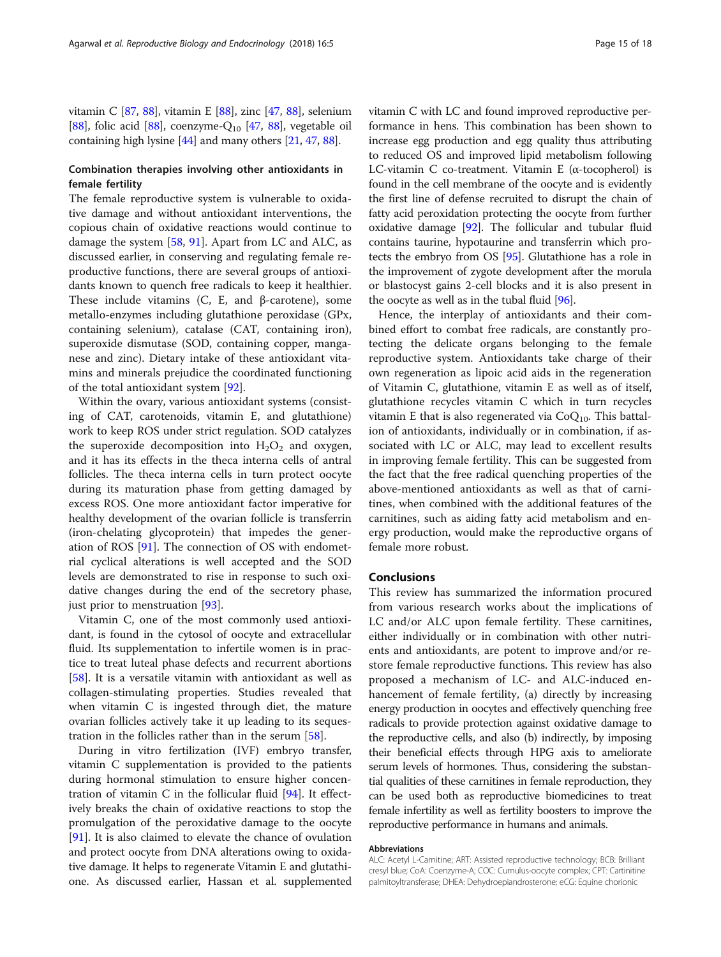vitamin C [[87,](#page-17-0) [88\]](#page-17-0), vitamin E [\[88\]](#page-17-0), zinc [[47](#page-16-0), [88](#page-17-0)], selenium [[88](#page-17-0)], folic acid [\[88\]](#page-17-0), coenzyme- $Q_{10}$  [[47](#page-16-0), [88\]](#page-17-0), vegetable oil containing high lysine [\[44\]](#page-16-0) and many others [\[21,](#page-15-0) [47](#page-16-0), [88](#page-17-0)].

# Combination therapies involving other antioxidants in female fertility

The female reproductive system is vulnerable to oxidative damage and without antioxidant interventions, the copious chain of oxidative reactions would continue to damage the system [\[58](#page-16-0), [91](#page-17-0)]. Apart from LC and ALC, as discussed earlier, in conserving and regulating female reproductive functions, there are several groups of antioxidants known to quench free radicals to keep it healthier. These include vitamins (C, E, and β-carotene), some metallo-enzymes including glutathione peroxidase (GPx, containing selenium), catalase (CAT, containing iron), superoxide dismutase (SOD, containing copper, manganese and zinc). Dietary intake of these antioxidant vitamins and minerals prejudice the coordinated functioning of the total antioxidant system [[92\]](#page-17-0).

Within the ovary, various antioxidant systems (consisting of CAT, carotenoids, vitamin E, and glutathione) work to keep ROS under strict regulation. SOD catalyzes the superoxide decomposition into  $H_2O_2$  and oxygen, and it has its effects in the theca interna cells of antral follicles. The theca interna cells in turn protect oocyte during its maturation phase from getting damaged by excess ROS. One more antioxidant factor imperative for healthy development of the ovarian follicle is transferrin (iron-chelating glycoprotein) that impedes the generation of ROS [[91\]](#page-17-0). The connection of OS with endometrial cyclical alterations is well accepted and the SOD levels are demonstrated to rise in response to such oxidative changes during the end of the secretory phase, just prior to menstruation [[93](#page-17-0)].

Vitamin C, one of the most commonly used antioxidant, is found in the cytosol of oocyte and extracellular fluid. Its supplementation to infertile women is in practice to treat luteal phase defects and recurrent abortions [[58\]](#page-16-0). It is a versatile vitamin with antioxidant as well as collagen-stimulating properties. Studies revealed that when vitamin C is ingested through diet, the mature ovarian follicles actively take it up leading to its sequestration in the follicles rather than in the serum [[58](#page-16-0)].

During in vitro fertilization (IVF) embryo transfer, vitamin C supplementation is provided to the patients during hormonal stimulation to ensure higher concentration of vitamin C in the follicular fluid [\[94](#page-17-0)]. It effectively breaks the chain of oxidative reactions to stop the promulgation of the peroxidative damage to the oocyte [[91\]](#page-17-0). It is also claimed to elevate the chance of ovulation and protect oocyte from DNA alterations owing to oxidative damage. It helps to regenerate Vitamin E and glutathione. As discussed earlier, Hassan et al. supplemented vitamin C with LC and found improved reproductive performance in hens. This combination has been shown to increase egg production and egg quality thus attributing to reduced OS and improved lipid metabolism following LC-vitamin C co-treatment. Vitamin E (α-tocopherol) is found in the cell membrane of the oocyte and is evidently the first line of defense recruited to disrupt the chain of fatty acid peroxidation protecting the oocyte from further oxidative damage [\[92\]](#page-17-0). The follicular and tubular fluid contains taurine, hypotaurine and transferrin which protects the embryo from OS [\[95\]](#page-17-0). Glutathione has a role in the improvement of zygote development after the morula or blastocyst gains 2-cell blocks and it is also present in the oocyte as well as in the tubal fluid [\[96\]](#page-17-0).

Hence, the interplay of antioxidants and their combined effort to combat free radicals, are constantly protecting the delicate organs belonging to the female reproductive system. Antioxidants take charge of their own regeneration as lipoic acid aids in the regeneration of Vitamin C, glutathione, vitamin E as well as of itself, glutathione recycles vitamin C which in turn recycles vitamin E that is also regenerated via  $CoQ_{10}$ . This battalion of antioxidants, individually or in combination, if associated with LC or ALC, may lead to excellent results in improving female fertility. This can be suggested from the fact that the free radical quenching properties of the above-mentioned antioxidants as well as that of carnitines, when combined with the additional features of the carnitines, such as aiding fatty acid metabolism and energy production, would make the reproductive organs of female more robust.

# Conclusions

This review has summarized the information procured from various research works about the implications of LC and/or ALC upon female fertility. These carnitines, either individually or in combination with other nutrients and antioxidants, are potent to improve and/or restore female reproductive functions. This review has also proposed a mechanism of LC- and ALC-induced enhancement of female fertility, (a) directly by increasing energy production in oocytes and effectively quenching free radicals to provide protection against oxidative damage to the reproductive cells, and also (b) indirectly, by imposing their beneficial effects through HPG axis to ameliorate serum levels of hormones. Thus, considering the substantial qualities of these carnitines in female reproduction, they can be used both as reproductive biomedicines to treat female infertility as well as fertility boosters to improve the reproductive performance in humans and animals.

#### Abbreviations

ALC: Acetyl L-Carnitine; ART: Assisted reproductive technology; BCB: Brilliant cresyl blue; CoA: Coenzyme-A; COC: Cumulus-oocyte complex; CPT: Cartinitine palmitoyltransferase; DHEA: Dehydroepiandrosterone; eCG: Equine chorionic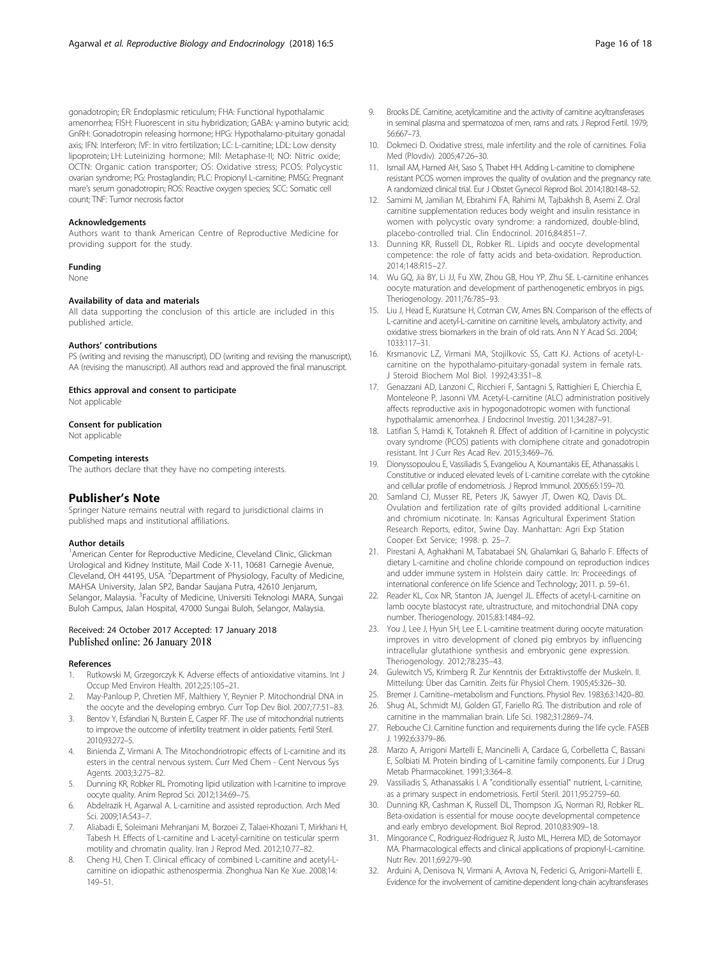<span id="page-15-0"></span>gonadotropin; ER: Endoplasmic reticulum; FHA: Functional hypothalamic amenorrhea; FISH: Fluorescent in situ hybridization; GABA: γ-amino butyric acid; GnRH: Gonadotropin releasing hormone; HPG: Hypothalamo-pituitary gonadal axis; IFN: Interferon; IVF: In vitro fertilization; LC: L-carnitine; LDL: Low density lipoprotein; LH: Luteinizing hormone; MII: Metaphase-II; NO: Nitric oxide; OCTN: Organic cation transporter; OS: Oxidative stress; PCOS: Polycystic ovarian syndrome; PG: Prostaglandin; PLC: Propionyl L-carnitine; PMSG: Pregnant mare's serum gonadotropin; ROS: Reactive oxygen species; SCC: Somatic cell count; TNF: Tumor necrosis factor

#### Acknowledgements

Authors want to thank American Centre of Reproductive Medicine for providing support for the study.

#### Funding

None

#### Availability of data and materials

All data supporting the conclusion of this article are included in this published article.

#### Authors' contributions

PS (writing and revising the manuscript), DD (writing and revising the manuscript), AA (revising the manuscript). All authors read and approved the final manuscript.

#### Ethics approval and consent to participate

Not applicable

#### Consent for publication

Not applicable

#### Competing interests

The authors declare that they have no competing interests.

#### Publisher's Note

Springer Nature remains neutral with regard to jurisdictional claims in published maps and institutional affiliations.

#### Author details

<sup>1</sup> American Center for Reproductive Medicine, Cleveland Clinic, Glickman Urological and Kidney Institute, Mail Code X-11, 10681 Carnegie Avenue, Cleveland, OH 44195, USA. <sup>2</sup>Department of Physiology, Faculty of Medicine, MAHSA University, Jalan SP2, Bandar Saujana Putra, 42610 Jenjarum, Selangor, Malaysia. <sup>3</sup>Faculty of Medicine, Universiti Teknologi MARA, Sungai Buloh Campus, Jalan Hospital, 47000 Sungai Buloh, Selangor, Malaysia.

#### Received: 24 October 2017 Accepted: 17 January 2018 Published online: 26 January 2018

#### References

- 1. Rutkowski M, Grzegorczyk K. Adverse effects of antioxidative vitamins. Int J Occup Med Environ Health. 2012;25:105–21.
- 2. May-Panloup P, Chretien MF, Malthiery Y, Reynier P. Mitochondrial DNA in the oocyte and the developing embryo. Curr Top Dev Biol. 2007;77:51–83.
- 3. Bentov Y, Esfandiari N, Burstein E, Casper RF. The use of mitochondrial nutrients to improve the outcome of infertility treatment in older patients. Fertil Steril. 2010;93:272–5.
- 4. Binienda Z, Virmani A. The Mitochondriotropic effects of L-carnitine and its esters in the central nervous system. Curr Med Chem - Cent Nervous Sys Agents. 2003;3:275–82.
- 5. Dunning KR, Robker RL. Promoting lipid utilization with l-carnitine to improve oocyte quality. Anim Reprod Sci. 2012;134:69–75.
- 6. Abdelrazik H, Agarwal A. L-carnitine and assisted reproduction. Arch Med Sci. 2009;1A:S43–7.
- 7. Aliabadi E, Soleimani Mehranjani M, Borzoei Z, Talaei-Khozani T, Mirkhani H, Tabesh H. Effects of L-carnitine and L-acetyl-carnitine on testicular sperm motility and chromatin quality. Iran J Reprod Med. 2012;10:77–82.
- 8. Cheng HJ, Chen T. Clinical efficacy of combined L-carnitine and acetyl-Lcarnitine on idiopathic asthenospermia. Zhonghua Nan Ke Xue. 2008;14: 149–51.
- 9. Brooks DE. Carnitine, acetylcarnitine and the activity of carnitine acyltransferases in seminal plasma and spermatozoa of men, rams and rats. J Reprod Fertil. 1979; 56:667–73.
- 10. Dokmeci D. Oxidative stress, male infertility and the role of carnitines. Folia Med (Plovdiv). 2005;47:26–30.
- 11. Ismail AM, Hamed AH, Saso S, Thabet HH. Adding L-carnitine to clomiphene resistant PCOS women improves the quality of ovulation and the pregnancy rate. A randomized clinical trial. Eur J Obstet Gynecol Reprod Biol. 2014;180:148–52.
- 12. Samimi M, Jamilian M, Ebrahimi FA, Rahimi M, Tajbakhsh B, Asemi Z. Oral carnitine supplementation reduces body weight and insulin resistance in women with polycystic ovary syndrome: a randomized, double-blind, placebo-controlled trial. Clin Endocrinol. 2016;84:851–7.
- 13. Dunning KR, Russell DL, Robker RL. Lipids and oocyte developmental competence: the role of fatty acids and beta-oxidation. Reproduction. 2014;148:R15–27.
- 14. Wu GQ, Jia BY, Li JJ, Fu XW, Zhou GB, Hou YP, Zhu SE. L-carnitine enhances oocyte maturation and development of parthenogenetic embryos in pigs. Theriogenology. 2011;76:785–93.
- 15. Liu J, Head E, Kuratsune H, Cotman CW, Ames BN. Comparison of the effects of L-carnitine and acetyl-L-carnitine on carnitine levels, ambulatory activity, and oxidative stress biomarkers in the brain of old rats. Ann N Y Acad Sci. 2004; 1033:117–31.
- 16. Krsmanovic LZ, Virmani MA, Stojilkovic SS, Catt KJ. Actions of acetyl-Lcarnitine on the hypothalamo-pituitary-gonadal system in female rats. J Steroid Biochem Mol Biol. 1992;43:351–8.
- 17. Genazzani AD, Lanzoni C, Ricchieri F, Santagni S, Rattighieri E, Chierchia E, Monteleone P, Jasonni VM. Acetyl-L-carnitine (ALC) administration positively affects reproductive axis in hypogonadotropic women with functional hypothalamic amenorrhea. J Endocrinol Investig. 2011;34:287–91.
- 18. Latifian S, Hamdi K, Totakneh R. Effect of addition of l-carnitine in polycystic ovary syndrome (PCOS) patients with clomiphene citrate and gonadotropin resistant. Int J Curr Res Acad Rev. 2015;3:469–76.
- 19. Dionyssopoulou E, Vassiliadis S, Evangeliou A, Koumantakis EE, Athanassakis I. Constitutive or induced elevated levels of L-carnitine correlate with the cytokine and cellular profile of endometriosis. J Reprod Immunol. 2005;65:159–70.
- 20. Samland CJ, Musser RE, Peters JK, Sawyer JT, Owen KQ, Davis DL. Ovulation and fertilization rate of gilts provided additional L-carnitine and chromium nicotinate. In: Kansas Agricultural Experiment Station Research Reports, editor, Swine Day. Manhattan: Agri Exp Station Cooper Ext Service; 1998. p. 25–7.
- 21. Pirestani A, Aghakhani M, Tabatabaei SN, Ghalamkari G, Baharlo F. Effects of dietary L-carnitine and choline chloride compound on reproduction indices and udder immune system in Holstein dairy cattle. In: Proceedings of international conference on life Science and Technology; 2011. p. 59–61.
- 22. Reader KL, Cox NR, Stanton JA, Juengel JL. Effects of acetyl-L-carnitine on lamb oocyte blastocyst rate, ultrastructure, and mitochondrial DNA copy number. Theriogenology. 2015;83:1484–92.
- 23. You J, Lee J, Hyun SH, Lee E. L-carnitine treatment during oocyte maturation improves in vitro development of cloned pig embryos by influencing intracellular glutathione synthesis and embryonic gene expression. Theriogenology. 2012;78:235–43.
- 24. Gulewitch VS, Krimberg R. Zur Kenntnis der Extraktivstoffe der Muskeln. II. Mitteilung: Über das Carnitin. Zeits für Physiol Chem. 1905;45:326–30.
- 25. Bremer J. Carnitine–metabolism and Functions. Physiol Rev. 1983;63:1420–80.
- 26. Shug AL, Schmidt MJ, Golden GT, Fariello RG. The distribution and role of carnitine in the mammalian brain. Life Sci. 1982;31:2869–74.
- 27. Rebouche CJ. Carnitine function and requirements during the life cycle. FASEB J. 1992;6:3379–86.
- 28. Marzo A, Arrigoni Martelli E, Mancinelli A, Cardace G, Corbelletta C, Bassani E, Solbiati M. Protein binding of L-carnitine family components. Eur J Drug Metab Pharmacokinet. 1991;3:364–8.
- 29. Vassiliadis S, Athanassakis I. A "conditionally essential" nutrient, L-carnitine, as a primary suspect in endometriosis. Fertil Steril. 2011;95:2759–60.
- 30. Dunning KR, Cashman K, Russell DL, Thompson JG, Norman RJ, Robker RL. Beta-oxidation is essential for mouse oocyte developmental competence and early embryo development. Biol Reprod. 2010;83:909–18.
- 31. Mingorance C, Rodriguez-Rodriguez R, Justo ML, Herrera MD, de Sotomayor MA. Pharmacological effects and clinical applications of propionyl-L-carnitine. Nutr Rev. 2011;69:279–90.
- 32. Arduini A, Denisova N, Virmani A, Avrova N, Federici G, Arrigoni-Martelli E. Evidence for the involvement of carnitine-dependent long-chain acyltransferases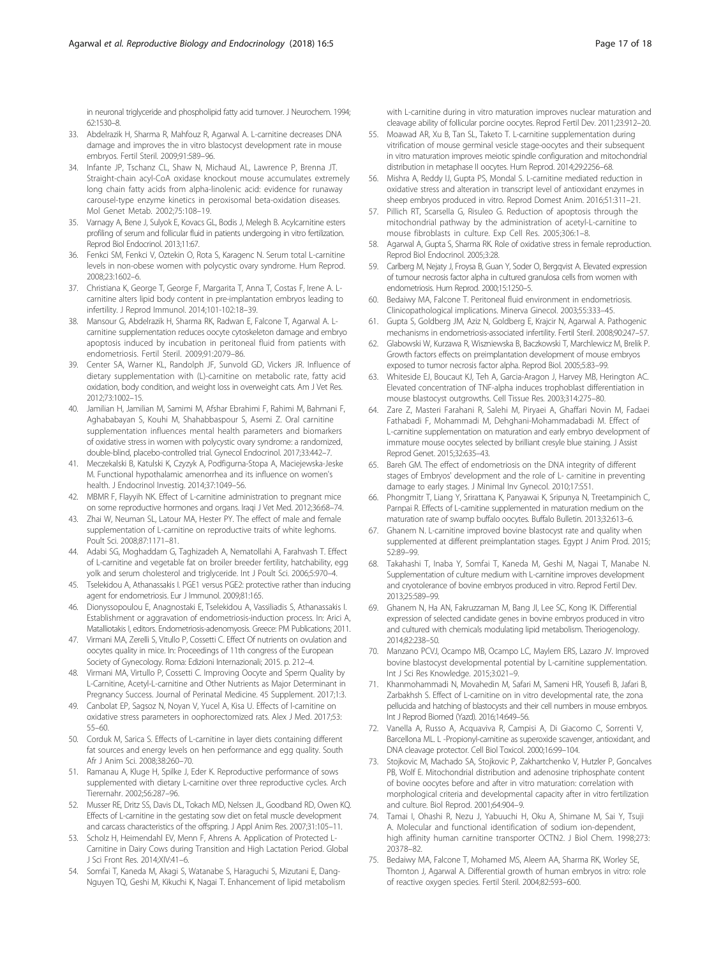<span id="page-16-0"></span>in neuronal triglyceride and phospholipid fatty acid turnover. J Neurochem. 1994; 62:1530–8.

- 33. Abdelrazik H, Sharma R, Mahfouz R, Agarwal A. L-carnitine decreases DNA damage and improves the in vitro blastocyst development rate in mouse embryos. Fertil Steril. 2009;91:589–96.
- 34. Infante JP, Tschanz CL, Shaw N, Michaud AL, Lawrence P, Brenna JT. Straight-chain acyl-CoA oxidase knockout mouse accumulates extremely long chain fatty acids from alpha-linolenic acid: evidence for runaway carousel-type enzyme kinetics in peroxisomal beta-oxidation diseases. Mol Genet Metab. 2002;75:108–19.
- 35. Varnagy A, Bene J, Sulyok E, Kovacs GL, Bodis J, Melegh B. Acylcarnitine esters profiling of serum and follicular fluid in patients undergoing in vitro fertilization. Reprod Biol Endocrinol. 2013;11:67.
- 36. Fenkci SM, Fenkci V, Oztekin O, Rota S, Karagenc N. Serum total L-carnitine levels in non-obese women with polycystic ovary syndrome. Hum Reprod. 2008;23:1602–6.
- 37. Christiana K, George T, George F, Margarita T, Anna T, Costas F, Irene A. Lcarnitine alters lipid body content in pre-implantation embryos leading to infertility. J Reprod Immunol. 2014;101-102:18–39.
- 38. Mansour G, Abdelrazik H, Sharma RK, Radwan E, Falcone T, Agarwal A. Lcarnitine supplementation reduces oocyte cytoskeleton damage and embryo apoptosis induced by incubation in peritoneal fluid from patients with endometriosis. Fertil Steril. 2009;91:2079–86.
- 39. Center SA, Warner KL, Randolph JF, Sunvold GD, Vickers JR. Influence of dietary supplementation with (L)-carnitine on metabolic rate, fatty acid oxidation, body condition, and weight loss in overweight cats. Am J Vet Res. 2012;73:1002–15.
- 40. Jamilian H, Jamilian M, Samimi M, Afshar Ebrahimi F, Rahimi M, Bahmani F, Aghababayan S, Kouhi M, Shahabbaspour S, Asemi Z. Oral carnitine supplementation influences mental health parameters and biomarkers of oxidative stress in women with polycystic ovary syndrome: a randomized, double-blind, placebo-controlled trial. Gynecol Endocrinol. 2017;33:442–7.
- 41. Meczekalski B, Katulski K, Czyzyk A, Podfigurna-Stopa A, Maciejewska-Jeske M. Functional hypothalamic amenorrhea and its influence on women's health. J Endocrinol Investig. 2014;37:1049–56.
- 42. MBMR F, Flayyih NK. Effect of L-carnitine administration to pregnant mice on some reproductive hormones and organs. Iraqi J Vet Med. 2012;36:68–74.
- 43. Zhai W, Neuman SL, Latour MA, Hester PY. The effect of male and female supplementation of L-carnitine on reproductive traits of white leghorns. Poult Sci. 2008;87:1171–81.
- 44. Adabi SG, Moghaddam G, Taghizadeh A, Nematollahi A, Farahvash T. Effect of L-carnitine and vegetable fat on broiler breeder fertility, hatchability, egg yolk and serum cholesterol and triglyceride. Int J Poult Sci. 2006;5:970–4.
- 45. Tselekidou A, Athanassakis I. PGE1 versus PGE2: protective rather than inducing agent for endometriosis. Eur J Immunol. 2009;81:165.
- 46. Dionyssopoulou E, Anagnostaki E, Tselekidou A, Vassiliadis S, Athanassakis I. Establishment or aggravation of endometriosis-induction process. In: Arici A, Matalliotakis I, editors. Endometriosis-adenomyosis. Greece: PM Publications; 2011.
- 47. Virmani MA, Zerelli S, Vitullo P, Cossetti C. Effect Of nutrients on ovulation and oocytes quality in mice. In: Proceedings of 11th congress of the European Society of Gynecology. Roma: Edizioni Internazionali; 2015. p. 212–4.
- 48. Virmani MA, Virtullo P, Cossetti C. Improving Oocyte and Sperm Quality by L-Carnitine, Acetyl-L-carnitine and Other Nutrients as Major Determinant in Pregnancy Success. Journal of Perinatal Medicine. 45 Supplement. 2017;1:3.
- 49. Canbolat EP, Sagsoz N, Noyan V, Yucel A, Kisa U. Effects of l-carnitine on oxidative stress parameters in oophorectomized rats. Alex J Med. 2017;53: 55–60.
- 50. Corduk M, Sarica S. Effects of L-carnitine in layer diets containing different fat sources and energy levels on hen performance and egg quality. South Afr J Anim Sci. 2008;38:260–70.
- 51. Ramanau A, Kluge H, Spilke J, Eder K. Reproductive performance of sows supplemented with dietary L-carnitine over three reproductive cycles. Arch Tierernahr. 2002;56:287–96.
- 52. Musser RE, Dritz SS, Davis DL, Tokach MD, Nelssen JL, Goodband RD, Owen KQ. Effects of L-carnitine in the gestating sow diet on fetal muscle development and carcass characteristics of the offspring. J Appl Anim Res. 2007;31:105–11.
- 53. Scholz H, Heimendahl EV, Menn F, Ahrens A. Application of Protected L-Carnitine in Dairy Cows during Transition and High Lactation Period. Global J Sci Front Res. 2014;XIV:41–6.
- 54. Somfai T, Kaneda M, Akagi S, Watanabe S, Haraguchi S, Mizutani E, Dang-Nguyen TQ, Geshi M, Kikuchi K, Nagai T. Enhancement of lipid metabolism

with L-carnitine during in vitro maturation improves nuclear maturation and cleavage ability of follicular porcine oocytes. Reprod Fertil Dev. 2011;23:912–20.

- 55. Moawad AR, Xu B, Tan SL, Taketo T. L-carnitine supplementation during vitrification of mouse germinal vesicle stage-oocytes and their subsequent in vitro maturation improves meiotic spindle configuration and mitochondrial distribution in metaphase II oocytes. Hum Reprod. 2014;29:2256–68.
- 56. Mishra A, Reddy IJ, Gupta PS, Mondal S. L-carnitine mediated reduction in oxidative stress and alteration in transcript level of antioxidant enzymes in sheep embryos produced in vitro. Reprod Domest Anim. 2016;51:311–21.
- 57. Pillich RT, Scarsella G, Risuleo G. Reduction of apoptosis through the mitochondrial pathway by the administration of acetyl-L-carnitine to mouse fibroblasts in culture. Exp Cell Res. 2005;306:1–8.
- 58. Agarwal A, Gupta S, Sharma RK. Role of oxidative stress in female reproduction. Reprod Biol Endocrinol. 2005;3:28.
- 59. Carlberg M, Nejaty J, Froysa B, Guan Y, Soder O, Bergqvist A. Elevated expression of tumour necrosis factor alpha in cultured granulosa cells from women with endometriosis. Hum Reprod. 2000;15:1250–5.
- 60. Bedaiwy MA, Falcone T. Peritoneal fluid environment in endometriosis. Clinicopathological implications. Minerva Ginecol. 2003;55:333–45.
- 61. Gupta S, Goldberg JM, Aziz N, Goldberg E, Krajcir N, Agarwal A. Pathogenic mechanisms in endometriosis-associated infertility. Fertil Steril. 2008;90:247–57.
- 62. Glabowski W, Kurzawa R, Wiszniewska B, Baczkowski T, Marchlewicz M, Brelik P. Growth factors effects on preimplantation development of mouse embryos exposed to tumor necrosis factor alpha. Reprod Biol. 2005;5:83–99.
- 63. Whiteside EJ, Boucaut KJ, Teh A, Garcia-Aragon J, Harvey MB, Herington AC. Elevated concentration of TNF-alpha induces trophoblast differentiation in mouse blastocyst outgrowths. Cell Tissue Res. 2003;314:275–80.
- 64. Zare Z, Masteri Farahani R, Salehi M, Piryaei A, Ghaffari Novin M, Fadaei Fathabadi F, Mohammadi M, Dehghani-Mohammadabadi M. Effect of L-carnitine supplementation on maturation and early embryo development of immature mouse oocytes selected by brilliant cresyle blue staining. J Assist Reprod Genet. 2015;32:635–43.
- 65. Bareh GM. The effect of endometriosis on the DNA integrity of different stages of Embryos' development and the role of L- carnitine in preventing damage to early stages. J Minimal Inv Gynecol. 2010;17:S51.
- 66. Phongmitr T, Liang Y, Srirattana K, Panyawai K, Sripunya N, Treetampinich C, Parnpai R. Effects of L-carnitine supplemented in maturation medium on the maturation rate of swamp buffalo oocytes. Buffalo Bulletin. 2013;32:613–6.
- 67. Ghanem N. L-carnitine improved bovine blastocyst rate and quality when supplemented at different preimplantation stages. Egypt J Anim Prod. 2015; 52:89–99.
- 68. Takahashi T, Inaba Y, Somfai T, Kaneda M, Geshi M, Nagai T, Manabe N. Supplementation of culture medium with L-carnitine improves development and cryotolerance of bovine embryos produced in vitro. Reprod Fertil Dev. 2013;25:589–99.
- 69. Ghanem N, Ha AN, Fakruzzaman M, Bang JI, Lee SC, Kong IK. Differential expression of selected candidate genes in bovine embryos produced in vitro and cultured with chemicals modulating lipid metabolism. Theriogenology. 2014;82:238–50.
- 70. Manzano PCVJ, Ocampo MB, Ocampo LC, Maylem ERS, Lazaro JV. Improved bovine blastocyst developmental potential by L-carnitine supplementation. Int J Sci Res Knowledge. 2015;3:021–9.
- 71. Khanmohammadi N, Movahedin M, Safari M, Sameni HR, Yousefi B, Jafari B, Zarbakhsh S. Effect of L-carnitine on in vitro developmental rate, the zona pellucida and hatching of blastocysts and their cell numbers in mouse embryos. Int J Reprod Biomed (Yazd). 2016;14:649–56.
- 72. Vanella A, Russo A, Acquaviva R, Campisi A, Di Giacomo C, Sorrenti V, Barcellona ML. L -Propionyl-carnitine as superoxide scavenger, antioxidant, and DNA cleavage protector. Cell Biol Toxicol. 2000;16:99–104.
- 73. Stojkovic M, Machado SA, Stojkovic P, Zakhartchenko V, Hutzler P, Goncalves PB, Wolf E. Mitochondrial distribution and adenosine triphosphate content of bovine oocytes before and after in vitro maturation: correlation with morphological criteria and developmental capacity after in vitro fertilization and culture. Biol Reprod. 2001;64:904–9.
- 74. Tamai I, Ohashi R, Nezu J, Yabuuchi H, Oku A, Shimane M, Sai Y, Tsuji A. Molecular and functional identification of sodium ion-dependent, high affinity human carnitine transporter OCTN2. J Biol Chem. 1998;273: 20378–82.
- 75. Bedaiwy MA, Falcone T, Mohamed MS, Aleem AA, Sharma RK, Worley SE, Thornton J, Agarwal A. Differential growth of human embryos in vitro: role of reactive oxygen species. Fertil Steril. 2004;82:593–600.